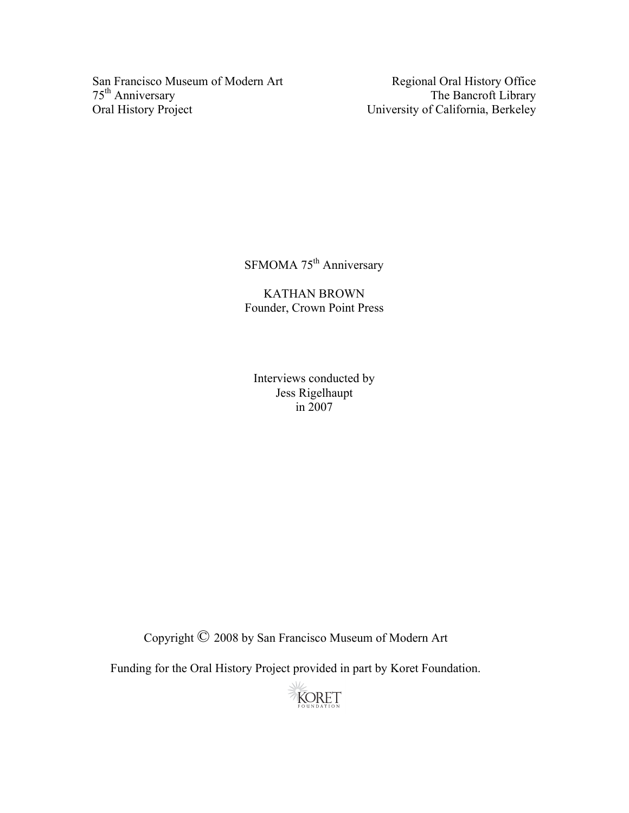San Francisco Museum of Modern Art Regional Oral History Office<br>
75<sup>th</sup> Anniversary The Bancroft Library 75<sup>th</sup> Anniversary The Bancroft Library<br>Oral History Project University of California, Berkeley

University of California, Berkeley

SFMOMA 75<sup>th</sup> Anniversary

KATHAN BROWN Founder, Crown Point Press

Interviews conducted by Jess Rigelhaupt in 2007

Copyright © 2008 by San Francisco Museum of Modern Art

Funding for the Oral History Project provided in part by Koret Foundation.

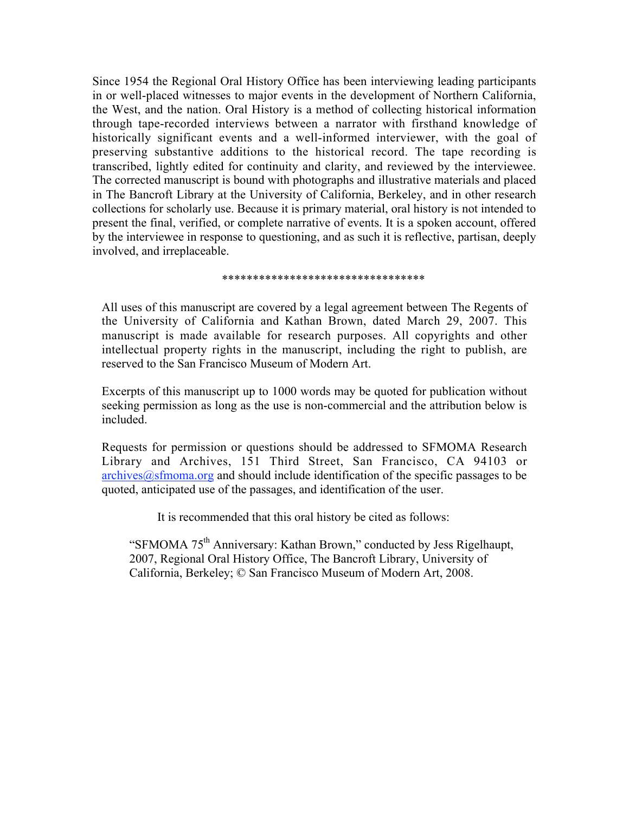Since 1954 the Regional Oral History Office has been interviewing leading participants in or well-placed witnesses to major events in the development of Northern California, the West, and the nation. Oral History is a method of collecting historical information through tape-recorded interviews between a narrator with firsthand knowledge of historically significant events and a well-informed interviewer, with the goal of preserving substantive additions to the historical record. The tape recording is transcribed, lightly edited for continuity and clarity, and reviewed by the interviewee. The corrected manuscript is bound with photographs and illustrative materials and placed in The Bancroft Library at the University of California, Berkeley, and in other research collections for scholarly use. Because it is primary material, oral history is not intended to present the final, verified, or complete narrative of events. It is a spoken account, offered by the interviewee in response to questioning, and as such it is reflective, partisan, deeply involved, and irreplaceable.

#### \*\*\*\*\*\*\*\*\*\*\*\*\*\*\*\*\*\*\*\*\*\*\*\*\*\*\*\*\*\*\*\*\*

All uses of this manuscript are covered by a legal agreement between The Regents of the University of California and Kathan Brown, dated March 29, 2007. This manuscript is made available for research purposes. All copyrights and other intellectual property rights in the manuscript, including the right to publish, are reserved to the San Francisco Museum of Modern Art.

Excerpts of this manuscript up to 1000 words may be quoted for publication without seeking permission as long as the use is non-commercial and the attribution below is included.

Requests for permission or questions should be addressed to SFMOMA Research Library and Archives, 151 Third Street, San Francisco, CA 94103 or  $archives@sfromaa.org$  and should include identification of the specific passages to be quoted, anticipated use of the passages, and identification of the user.

It is recommended that this oral history be cited as follows:

"SFMOMA 75<sup>th</sup> Anniversary: Kathan Brown," conducted by Jess Rigelhaupt, 2007, Regional Oral History Office, The Bancroft Library, University of California, Berkeley; © San Francisco Museum of Modern Art, 2008.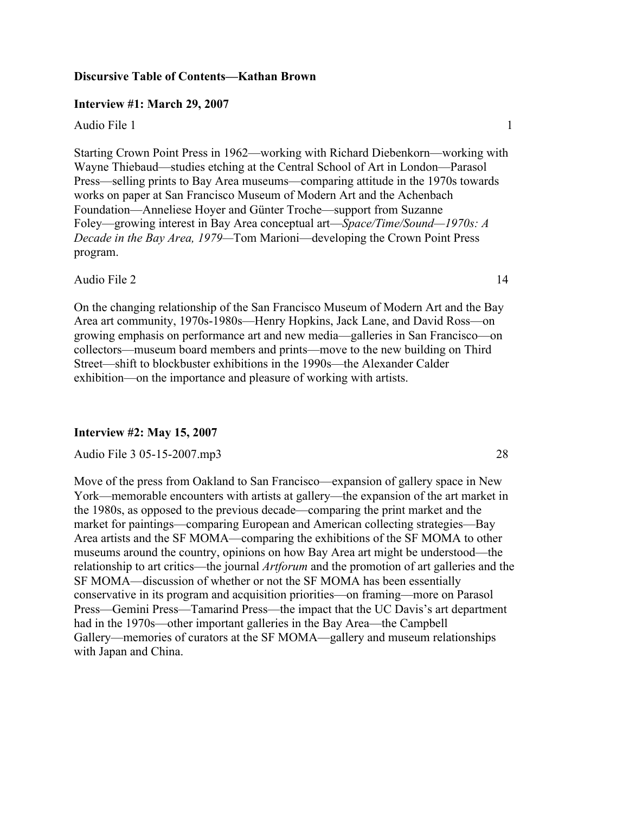# **Discursive Table of Contents—Kathan Brown**

# **Interview #1: March 29, 2007**

Audio File 1 1

Starting Crown Point Press in 1962—working with Richard Diebenkorn—working with Wayne Thiebaud—studies etching at the Central School of Art in London—Parasol Press—selling prints to Bay Area museums—comparing attitude in the 1970s towards works on paper at San Francisco Museum of Modern Art and the Achenbach Foundation—Anneliese Hoyer and Günter Troche—support from Suzanne Foley—growing interest in Bay Area conceptual art—*Space/Time/Sound—1970s: A Decade in the Bay Area, 1979—*Tom Marioni—developing the Crown Point Press program.

Audio File 2 14

On the changing relationship of the San Francisco Museum of Modern Art and the Bay Area art community, 1970s-1980s—Henry Hopkins, Jack Lane, and David Ross—on growing emphasis on performance art and new media—galleries in San Francisco—on collectors—museum board members and prints—move to the new building on Third Street—shift to blockbuster exhibitions in the 1990s—the Alexander Calder exhibition—on the importance and pleasure of working with artists.

# **Interview #2: May 15, 2007**

# Audio File 3 05-15-2007.mp3 28

Move of the press from Oakland to San Francisco—expansion of gallery space in New York—memorable encounters with artists at gallery—the expansion of the art market in the 1980s, as opposed to the previous decade—comparing the print market and the market for paintings—comparing European and American collecting strategies—Bay Area artists and the SF MOMA—comparing the exhibitions of the SF MOMA to other museums around the country, opinions on how Bay Area art might be understood—the relationship to art critics—the journal *Artforum* and the promotion of art galleries and the SF MOMA—discussion of whether or not the SF MOMA has been essentially conservative in its program and acquisition priorities—on framing—more on Parasol Press—Gemini Press—Tamarind Press—the impact that the UC Davis's art department had in the 1970s—other important galleries in the Bay Area—the Campbell Gallery—memories of curators at the SF MOMA—gallery and museum relationships with Japan and China.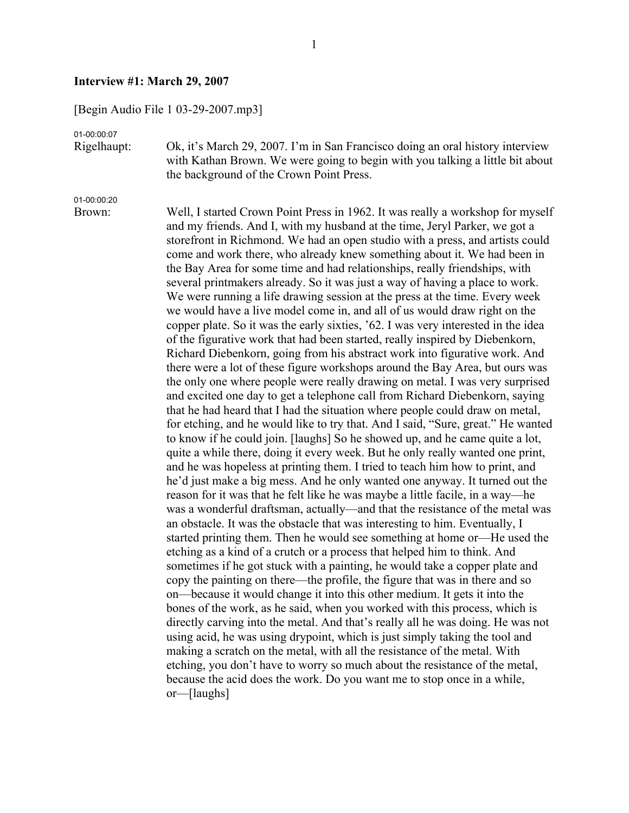### **Interview #1: March 29, 2007**

[Begin Audio File 1 03-29-2007.mp3]

01-00:00:07

Rigelhaupt: Ok, it's March 29, 2007. I'm in San Francisco doing an oral history interview with Kathan Brown. We were going to begin with you talking a little bit about the background of the Crown Point Press.

01-00:00:20

Brown: Well, I started Crown Point Press in 1962. It was really a workshop for myself and my friends. And I, with my husband at the time, Jeryl Parker, we got a storefront in Richmond. We had an open studio with a press, and artists could come and work there, who already knew something about it. We had been in the Bay Area for some time and had relationships, really friendships, with several printmakers already. So it was just a way of having a place to work. We were running a life drawing session at the press at the time. Every week we would have a live model come in, and all of us would draw right on the copper plate. So it was the early sixties, '62. I was very interested in the idea of the figurative work that had been started, really inspired by Diebenkorn, Richard Diebenkorn, going from his abstract work into figurative work. And there were a lot of these figure workshops around the Bay Area, but ours was the only one where people were really drawing on metal. I was very surprised and excited one day to get a telephone call from Richard Diebenkorn, saying that he had heard that I had the situation where people could draw on metal, for etching, and he would like to try that. And I said, "Sure, great." He wanted to know if he could join. [laughs] So he showed up, and he came quite a lot, quite a while there, doing it every week. But he only really wanted one print, and he was hopeless at printing them. I tried to teach him how to print, and he'd just make a big mess. And he only wanted one anyway. It turned out the reason for it was that he felt like he was maybe a little facile, in a way—he was a wonderful draftsman, actually—and that the resistance of the metal was an obstacle. It was the obstacle that was interesting to him. Eventually, I started printing them. Then he would see something at home or—He used the etching as a kind of a crutch or a process that helped him to think. And sometimes if he got stuck with a painting, he would take a copper plate and copy the painting on there—the profile, the figure that was in there and so on—because it would change it into this other medium. It gets it into the bones of the work, as he said, when you worked with this process, which is directly carving into the metal. And that's really all he was doing. He was not using acid, he was using drypoint, which is just simply taking the tool and making a scratch on the metal, with all the resistance of the metal. With etching, you don't have to worry so much about the resistance of the metal, because the acid does the work. Do you want me to stop once in a while, or—[laughs]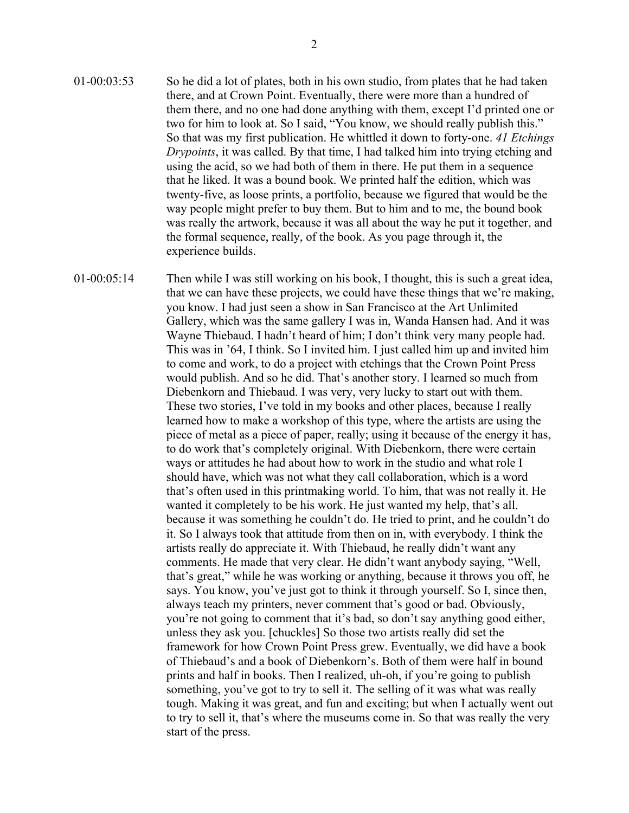- 01-00:03:53 So he did a lot of plates, both in his own studio, from plates that he had taken there, and at Crown Point. Eventually, there were more than a hundred of them there, and no one had done anything with them, except I'd printed one or two for him to look at. So I said, "You know, we should really publish this." So that was my first publication. He whittled it down to forty-one. *41 Etchings Drypoints*, it was called. By that time, I had talked him into trying etching and using the acid, so we had both of them in there. He put them in a sequence that he liked. It was a bound book. We printed half the edition, which was twenty-five, as loose prints, a portfolio, because we figured that would be the way people might prefer to buy them. But to him and to me, the bound book was really the artwork, because it was all about the way he put it together, and the formal sequence, really, of the book. As you page through it, the experience builds.
- 01-00:05:14 Then while I was still working on his book, I thought, this is such a great idea, that we can have these projects, we could have these things that we're making, you know. I had just seen a show in San Francisco at the Art Unlimited Gallery, which was the same gallery I was in, Wanda Hansen had. And it was Wayne Thiebaud. I hadn't heard of him; I don't think very many people had. This was in '64, I think. So I invited him. I just called him up and invited him to come and work, to do a project with etchings that the Crown Point Press would publish. And so he did. That's another story. I learned so much from Diebenkorn and Thiebaud. I was very, very lucky to start out with them. These two stories, I've told in my books and other places, because I really learned how to make a workshop of this type, where the artists are using the piece of metal as a piece of paper, really; using it because of the energy it has, to do work that's completely original. With Diebenkorn, there were certain ways or attitudes he had about how to work in the studio and what role I should have, which was not what they call collaboration, which is a word that's often used in this printmaking world. To him, that was not really it. He wanted it completely to be his work. He just wanted my help, that's all. because it was something he couldn't do. He tried to print, and he couldn't do it. So I always took that attitude from then on in, with everybody. I think the artists really do appreciate it. With Thiebaud, he really didn't want any comments. He made that very clear. He didn't want anybody saying, "Well, that's great," while he was working or anything, because it throws you off, he says. You know, you've just got to think it through yourself. So I, since then, always teach my printers, never comment that's good or bad. Obviously, you're not going to comment that it's bad, so don't say anything good either, unless they ask you. [chuckles] So those two artists really did set the framework for how Crown Point Press grew. Eventually, we did have a book of Thiebaud's and a book of Diebenkorn's. Both of them were half in bound prints and half in books. Then I realized, uh-oh, if you're going to publish something, you've got to try to sell it. The selling of it was what was really tough. Making it was great, and fun and exciting; but when I actually went out to try to sell it, that's where the museums come in. So that was really the very start of the press.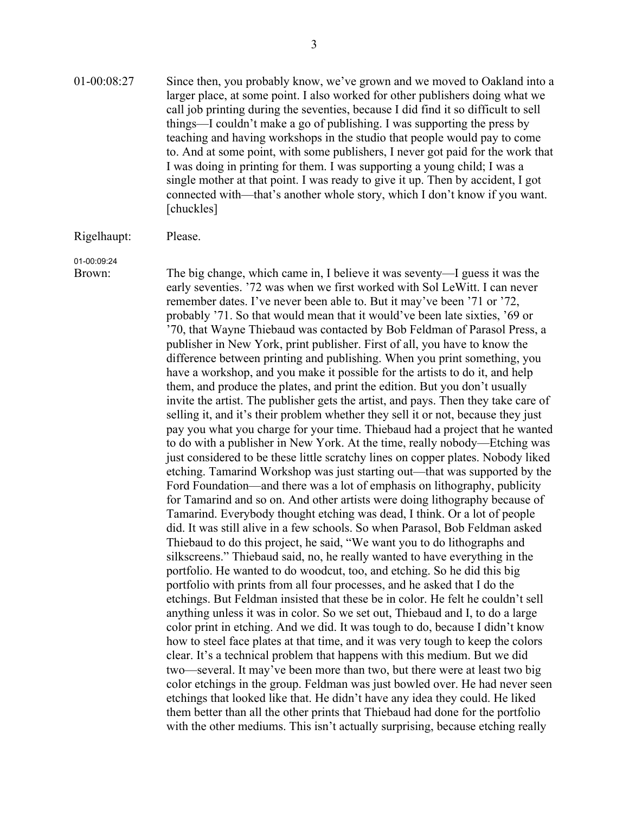01-00:08:27 Since then, you probably know, we've grown and we moved to Oakland into a larger place, at some point. I also worked for other publishers doing what we call job printing during the seventies, because I did find it so difficult to sell things—I couldn't make a go of publishing. I was supporting the press by teaching and having workshops in the studio that people would pay to come to. And at some point, with some publishers, I never got paid for the work that I was doing in printing for them. I was supporting a young child; I was a single mother at that point. I was ready to give it up. Then by accident, I got connected with—that's another whole story, which I don't know if you want. [chuckles]

#### Rigelhaupt: Please.

01-00:09:24

Brown: The big change, which came in, I believe it was seventy—I guess it was the early seventies. '72 was when we first worked with Sol LeWitt. I can never remember dates. I've never been able to. But it may've been '71 or '72, probably '71. So that would mean that it would've been late sixties, '69 or '70, that Wayne Thiebaud was contacted by Bob Feldman of Parasol Press, a publisher in New York, print publisher. First of all, you have to know the difference between printing and publishing. When you print something, you have a workshop, and you make it possible for the artists to do it, and help them, and produce the plates, and print the edition. But you don't usually invite the artist. The publisher gets the artist, and pays. Then they take care of selling it, and it's their problem whether they sell it or not, because they just pay you what you charge for your time. Thiebaud had a project that he wanted to do with a publisher in New York. At the time, really nobody—Etching was just considered to be these little scratchy lines on copper plates. Nobody liked etching. Tamarind Workshop was just starting out—that was supported by the Ford Foundation—and there was a lot of emphasis on lithography, publicity for Tamarind and so on. And other artists were doing lithography because of Tamarind. Everybody thought etching was dead, I think. Or a lot of people did. It was still alive in a few schools. So when Parasol, Bob Feldman asked Thiebaud to do this project, he said, "We want you to do lithographs and silkscreens." Thiebaud said, no, he really wanted to have everything in the portfolio. He wanted to do woodcut, too, and etching. So he did this big portfolio with prints from all four processes, and he asked that I do the etchings. But Feldman insisted that these be in color. He felt he couldn't sell anything unless it was in color. So we set out, Thiebaud and I, to do a large color print in etching. And we did. It was tough to do, because I didn't know how to steel face plates at that time, and it was very tough to keep the colors clear. It's a technical problem that happens with this medium. But we did two—several. It may've been more than two, but there were at least two big color etchings in the group. Feldman was just bowled over. He had never seen etchings that looked like that. He didn't have any idea they could. He liked them better than all the other prints that Thiebaud had done for the portfolio with the other mediums. This isn't actually surprising, because etching really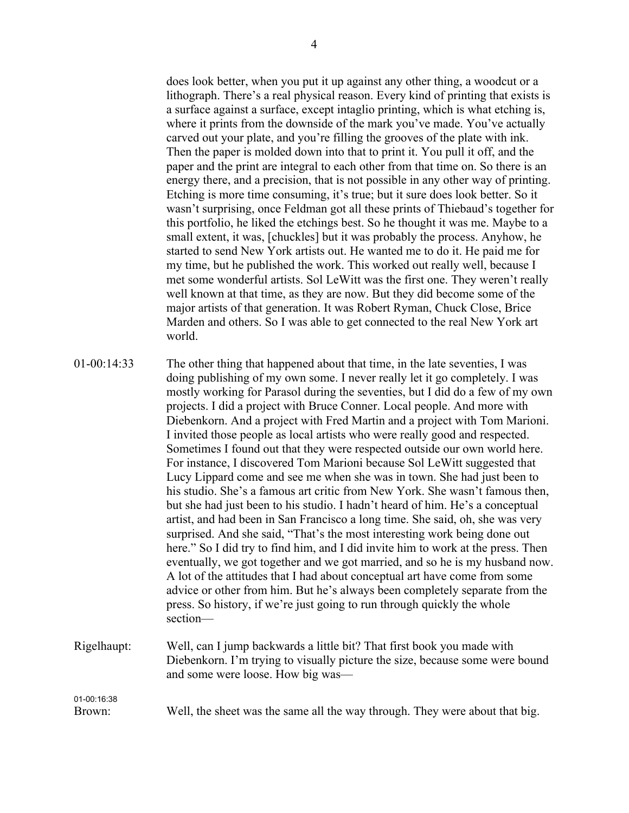does look better, when you put it up against any other thing, a woodcut or a lithograph. There's a real physical reason. Every kind of printing that exists is a surface against a surface, except intaglio printing, which is what etching is, where it prints from the downside of the mark you've made. You've actually carved out your plate, and you're filling the grooves of the plate with ink. Then the paper is molded down into that to print it. You pull it off, and the paper and the print are integral to each other from that time on. So there is an energy there, and a precision, that is not possible in any other way of printing. Etching is more time consuming, it's true; but it sure does look better. So it wasn't surprising, once Feldman got all these prints of Thiebaud's together for this portfolio, he liked the etchings best. So he thought it was me. Maybe to a small extent, it was, [chuckles] but it was probably the process. Anyhow, he started to send New York artists out. He wanted me to do it. He paid me for my time, but he published the work. This worked out really well, because I met some wonderful artists. Sol LeWitt was the first one. They weren't really well known at that time, as they are now. But they did become some of the major artists of that generation. It was Robert Ryman, Chuck Close, Brice Marden and others. So I was able to get connected to the real New York art world.

01-00:14:33 The other thing that happened about that time, in the late seventies, I was doing publishing of my own some. I never really let it go completely. I was mostly working for Parasol during the seventies, but I did do a few of my own projects. I did a project with Bruce Conner. Local people. And more with Diebenkorn. And a project with Fred Martin and a project with Tom Marioni. I invited those people as local artists who were really good and respected. Sometimes I found out that they were respected outside our own world here. For instance, I discovered Tom Marioni because Sol LeWitt suggested that Lucy Lippard come and see me when she was in town. She had just been to his studio. She's a famous art critic from New York. She wasn't famous then, but she had just been to his studio. I hadn't heard of him. He's a conceptual artist, and had been in San Francisco a long time. She said, oh, she was very surprised. And she said, "That's the most interesting work being done out here." So I did try to find him, and I did invite him to work at the press. Then eventually, we got together and we got married, and so he is my husband now. A lot of the attitudes that I had about conceptual art have come from some advice or other from him. But he's always been completely separate from the press. So history, if we're just going to run through quickly the whole section— Rigelhaupt: Well, can I jump backwards a little bit? That first book you made with Diebenkorn. I'm trying to visually picture the size, because some were bound and some were loose. How big was—

Brown: Well, the sheet was the same all the way through. They were about that big.

01-00:16:38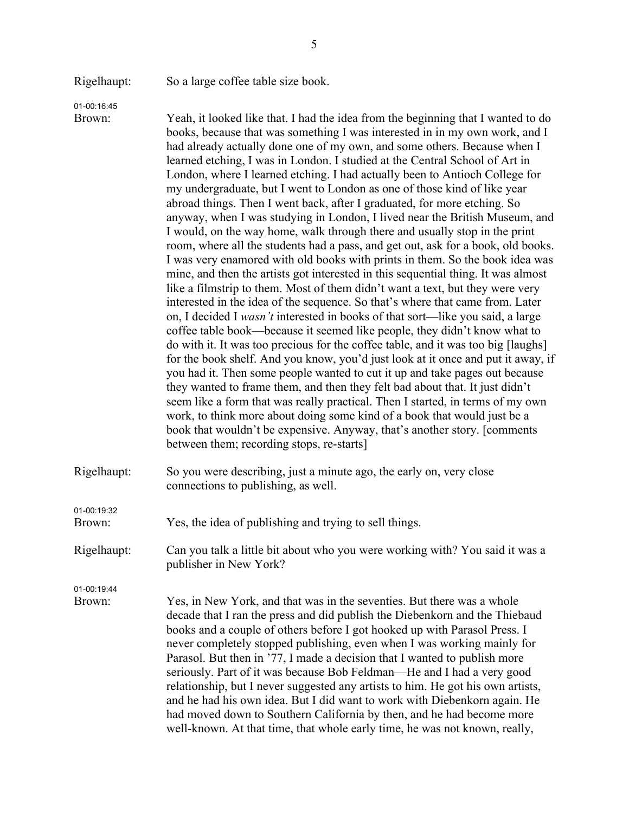Rigelhaupt: So a large coffee table size book.

01-00:16:45

Brown: Yeah, it looked like that. I had the idea from the beginning that I wanted to do books, because that was something I was interested in in my own work, and I had already actually done one of my own, and some others. Because when I learned etching, I was in London. I studied at the Central School of Art in London, where I learned etching. I had actually been to Antioch College for my undergraduate, but I went to London as one of those kind of like year abroad things. Then I went back, after I graduated, for more etching. So anyway, when I was studying in London, I lived near the British Museum, and I would, on the way home, walk through there and usually stop in the print room, where all the students had a pass, and get out, ask for a book, old books. I was very enamored with old books with prints in them. So the book idea was mine, and then the artists got interested in this sequential thing. It was almost like a filmstrip to them. Most of them didn't want a text, but they were very interested in the idea of the sequence. So that's where that came from. Later on, I decided I *wasn't* interested in books of that sort—like you said, a large coffee table book—because it seemed like people, they didn't know what to do with it. It was too precious for the coffee table, and it was too big [laughs] for the book shelf. And you know, you'd just look at it once and put it away, if you had it. Then some people wanted to cut it up and take pages out because they wanted to frame them, and then they felt bad about that. It just didn't seem like a form that was really practical. Then I started, in terms of my own work, to think more about doing some kind of a book that would just be a book that wouldn't be expensive. Anyway, that's another story. [comments between them; recording stops, re-starts]

Rigelhaupt: So you were describing, just a minute ago, the early on, very close connections to publishing, as well.

Brown: Yes, the idea of publishing and trying to sell things.

Rigelhaupt: Can you talk a little bit about who you were working with? You said it was a publisher in New York?

01-00:19:44

01-00:19:32

Brown: Yes, in New York, and that was in the seventies. But there was a whole decade that I ran the press and did publish the Diebenkorn and the Thiebaud books and a couple of others before I got hooked up with Parasol Press. I never completely stopped publishing, even when I was working mainly for Parasol. But then in '77, I made a decision that I wanted to publish more seriously. Part of it was because Bob Feldman—He and I had a very good relationship, but I never suggested any artists to him. He got his own artists, and he had his own idea. But I did want to work with Diebenkorn again. He had moved down to Southern California by then, and he had become more well-known. At that time, that whole early time, he was not known, really,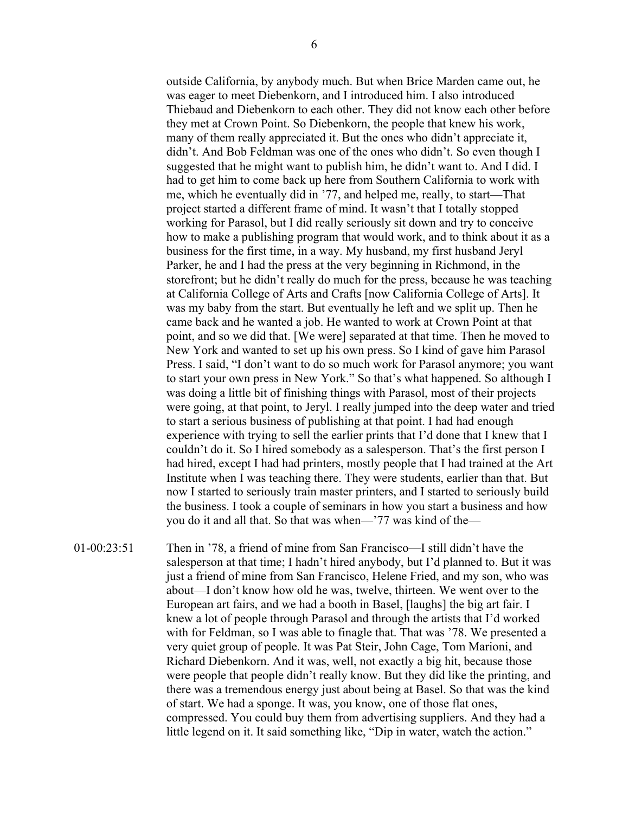outside California, by anybody much. But when Brice Marden came out, he was eager to meet Diebenkorn, and I introduced him. I also introduced Thiebaud and Diebenkorn to each other. They did not know each other before they met at Crown Point. So Diebenkorn, the people that knew his work, many of them really appreciated it. But the ones who didn't appreciate it, didn't. And Bob Feldman was one of the ones who didn't. So even though I suggested that he might want to publish him, he didn't want to. And I did. I had to get him to come back up here from Southern California to work with me, which he eventually did in '77, and helped me, really, to start—That project started a different frame of mind. It wasn't that I totally stopped working for Parasol, but I did really seriously sit down and try to conceive how to make a publishing program that would work, and to think about it as a business for the first time, in a way. My husband, my first husband Jeryl Parker, he and I had the press at the very beginning in Richmond, in the storefront; but he didn't really do much for the press, because he was teaching at California College of Arts and Crafts [now California College of Arts]. It was my baby from the start. But eventually he left and we split up. Then he came back and he wanted a job. He wanted to work at Crown Point at that point, and so we did that. [We were] separated at that time. Then he moved to New York and wanted to set up his own press. So I kind of gave him Parasol Press. I said, "I don't want to do so much work for Parasol anymore; you want to start your own press in New York." So that's what happened. So although I was doing a little bit of finishing things with Parasol, most of their projects were going, at that point, to Jeryl. I really jumped into the deep water and tried to start a serious business of publishing at that point. I had had enough experience with trying to sell the earlier prints that I'd done that I knew that I couldn't do it. So I hired somebody as a salesperson. That's the first person I had hired, except I had had printers, mostly people that I had trained at the Art Institute when I was teaching there. They were students, earlier than that. But now I started to seriously train master printers, and I started to seriously build the business. I took a couple of seminars in how you start a business and how you do it and all that. So that was when—'77 was kind of the—

01-00:23:51 Then in '78, a friend of mine from San Francisco—I still didn't have the salesperson at that time; I hadn't hired anybody, but I'd planned to. But it was just a friend of mine from San Francisco, Helene Fried, and my son, who was about—I don't know how old he was, twelve, thirteen. We went over to the European art fairs, and we had a booth in Basel, [laughs] the big art fair. I knew a lot of people through Parasol and through the artists that I'd worked with for Feldman, so I was able to finagle that. That was '78. We presented a very quiet group of people. It was Pat Steir, John Cage, Tom Marioni, and Richard Diebenkorn. And it was, well, not exactly a big hit, because those were people that people didn't really know. But they did like the printing, and there was a tremendous energy just about being at Basel. So that was the kind of start. We had a sponge. It was, you know, one of those flat ones, compressed. You could buy them from advertising suppliers. And they had a little legend on it. It said something like, "Dip in water, watch the action."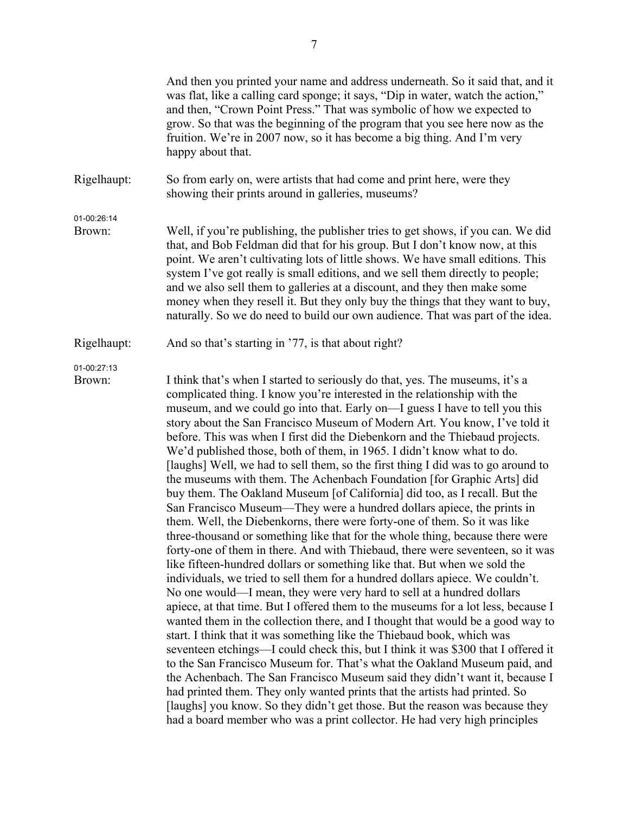|                       | And then you printed your name and address underneath. So it said that, and it<br>was flat, like a calling card sponge; it says, "Dip in water, watch the action,"<br>and then, "Crown Point Press." That was symbolic of how we expected to<br>grow. So that was the beginning of the program that you see here now as the<br>fruition. We're in 2007 now, so it has become a big thing. And I'm very<br>happy about that.                                                                                                                                                                                                                                                                                                                                                                                                                                                                                                                                                                                                                                                                                                                                                                                                                                                                                                                                                                                                                                                                                                                                                                                                                                                                                                                                                                                                                                                                                                                                                                                                              |
|-----------------------|------------------------------------------------------------------------------------------------------------------------------------------------------------------------------------------------------------------------------------------------------------------------------------------------------------------------------------------------------------------------------------------------------------------------------------------------------------------------------------------------------------------------------------------------------------------------------------------------------------------------------------------------------------------------------------------------------------------------------------------------------------------------------------------------------------------------------------------------------------------------------------------------------------------------------------------------------------------------------------------------------------------------------------------------------------------------------------------------------------------------------------------------------------------------------------------------------------------------------------------------------------------------------------------------------------------------------------------------------------------------------------------------------------------------------------------------------------------------------------------------------------------------------------------------------------------------------------------------------------------------------------------------------------------------------------------------------------------------------------------------------------------------------------------------------------------------------------------------------------------------------------------------------------------------------------------------------------------------------------------------------------------------------------------|
| Rigelhaupt:           | So from early on, were artists that had come and print here, were they<br>showing their prints around in galleries, museums?                                                                                                                                                                                                                                                                                                                                                                                                                                                                                                                                                                                                                                                                                                                                                                                                                                                                                                                                                                                                                                                                                                                                                                                                                                                                                                                                                                                                                                                                                                                                                                                                                                                                                                                                                                                                                                                                                                             |
| 01-00:26:14<br>Brown: | Well, if you're publishing, the publisher tries to get shows, if you can. We did<br>that, and Bob Feldman did that for his group. But I don't know now, at this<br>point. We aren't cultivating lots of little shows. We have small editions. This<br>system I've got really is small editions, and we sell them directly to people;<br>and we also sell them to galleries at a discount, and they then make some<br>money when they resell it. But they only buy the things that they want to buy,<br>naturally. So we do need to build our own audience. That was part of the idea.                                                                                                                                                                                                                                                                                                                                                                                                                                                                                                                                                                                                                                                                                                                                                                                                                                                                                                                                                                                                                                                                                                                                                                                                                                                                                                                                                                                                                                                    |
| Rigelhaupt:           | And so that's starting in '77, is that about right?                                                                                                                                                                                                                                                                                                                                                                                                                                                                                                                                                                                                                                                                                                                                                                                                                                                                                                                                                                                                                                                                                                                                                                                                                                                                                                                                                                                                                                                                                                                                                                                                                                                                                                                                                                                                                                                                                                                                                                                      |
| 01-00:27:13<br>Brown: | I think that's when I started to seriously do that, yes. The museums, it's a<br>complicated thing. I know you're interested in the relationship with the<br>museum, and we could go into that. Early on—I guess I have to tell you this<br>story about the San Francisco Museum of Modern Art. You know, I've told it<br>before. This was when I first did the Diebenkorn and the Thiebaud projects.<br>We'd published those, both of them, in 1965. I didn't know what to do.<br>[laughs] Well, we had to sell them, so the first thing I did was to go around to<br>the museums with them. The Achenbach Foundation [for Graphic Arts] did<br>buy them. The Oakland Museum [of California] did too, as I recall. But the<br>San Francisco Museum—They were a hundred dollars apiece, the prints in<br>them. Well, the Diebenkorns, there were forty-one of them. So it was like<br>three-thousand or something like that for the whole thing, because there were<br>forty-one of them in there. And with Thiebaud, there were seventeen, so it was<br>like fifteen-hundred dollars or something like that. But when we sold the<br>individuals, we tried to sell them for a hundred dollars apiece. We couldn't.<br>No one would—I mean, they were very hard to sell at a hundred dollars<br>apiece, at that time. But I offered them to the museums for a lot less, because I<br>wanted them in the collection there, and I thought that would be a good way to<br>start. I think that it was something like the Thiebaud book, which was<br>seventeen etchings—I could check this, but I think it was \$300 that I offered it<br>to the San Francisco Museum for. That's what the Oakland Museum paid, and<br>the Achenbach. The San Francisco Museum said they didn't want it, because I<br>had printed them. They only wanted prints that the artists had printed. So<br>[laughs] you know. So they didn't get those. But the reason was because they<br>had a board member who was a print collector. He had very high principles |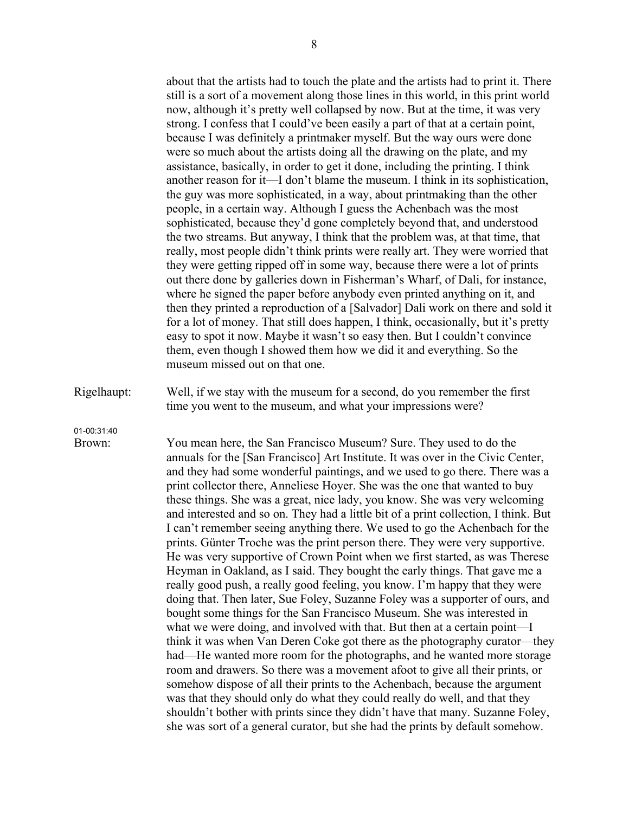about that the artists had to touch the plate and the artists had to print it. There still is a sort of a movement along those lines in this world, in this print world now, although it's pretty well collapsed by now. But at the time, it was very strong. I confess that I could've been easily a part of that at a certain point, because I was definitely a printmaker myself. But the way ours were done were so much about the artists doing all the drawing on the plate, and my assistance, basically, in order to get it done, including the printing. I think another reason for it—I don't blame the museum. I think in its sophistication, the guy was more sophisticated, in a way, about printmaking than the other people, in a certain way. Although I guess the Achenbach was the most sophisticated, because they'd gone completely beyond that, and understood the two streams. But anyway, I think that the problem was, at that time, that really, most people didn't think prints were really art. They were worried that they were getting ripped off in some way, because there were a lot of prints out there done by galleries down in Fisherman's Wharf, of Dali, for instance, where he signed the paper before anybody even printed anything on it, and then they printed a reproduction of a [Salvador] Dali work on there and sold it for a lot of money. That still does happen, I think, occasionally, but it's pretty easy to spot it now. Maybe it wasn't so easy then. But I couldn't convince them, even though I showed them how we did it and everything. So the museum missed out on that one.

Rigelhaupt: Well, if we stay with the museum for a second, do you remember the first time you went to the museum, and what your impressions were?

01-00:31:40

Brown: You mean here, the San Francisco Museum? Sure. They used to do the annuals for the [San Francisco] Art Institute. It was over in the Civic Center, and they had some wonderful paintings, and we used to go there. There was a print collector there, Anneliese Hoyer. She was the one that wanted to buy these things. She was a great, nice lady, you know. She was very welcoming and interested and so on. They had a little bit of a print collection, I think. But I can't remember seeing anything there. We used to go the Achenbach for the prints. Günter Troche was the print person there. They were very supportive. He was very supportive of Crown Point when we first started, as was Therese Heyman in Oakland, as I said. They bought the early things. That gave me a really good push, a really good feeling, you know. I'm happy that they were doing that. Then later, Sue Foley, Suzanne Foley was a supporter of ours, and bought some things for the San Francisco Museum. She was interested in what we were doing, and involved with that. But then at a certain point—I think it was when Van Deren Coke got there as the photography curator—they had—He wanted more room for the photographs, and he wanted more storage room and drawers. So there was a movement afoot to give all their prints, or somehow dispose of all their prints to the Achenbach, because the argument was that they should only do what they could really do well, and that they shouldn't bother with prints since they didn't have that many. Suzanne Foley, she was sort of a general curator, but she had the prints by default somehow.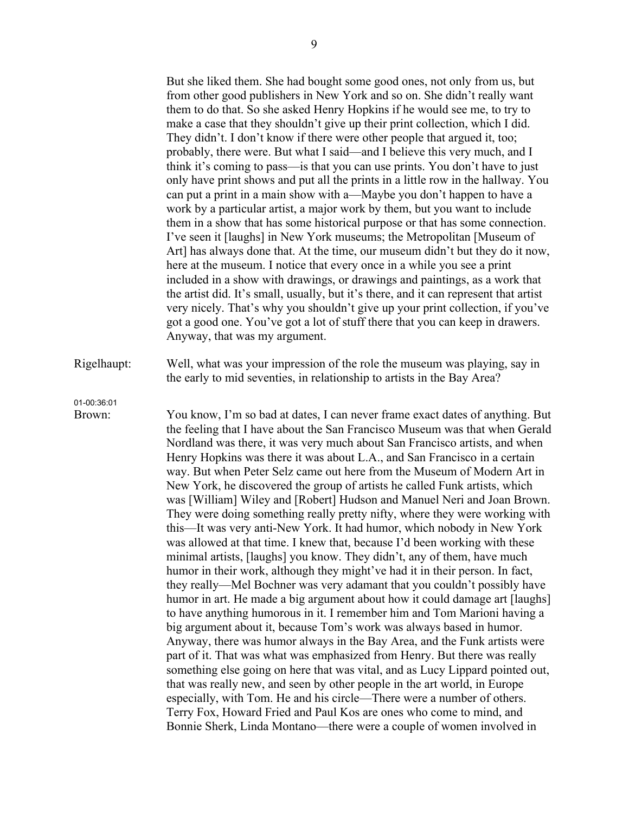But she liked them. She had bought some good ones, not only from us, but from other good publishers in New York and so on. She didn't really want them to do that. So she asked Henry Hopkins if he would see me, to try to make a case that they shouldn't give up their print collection, which I did. They didn't. I don't know if there were other people that argued it, too; probably, there were. But what I said—and I believe this very much, and I think it's coming to pass—is that you can use prints. You don't have to just only have print shows and put all the prints in a little row in the hallway. You can put a print in a main show with a—Maybe you don't happen to have a work by a particular artist, a major work by them, but you want to include them in a show that has some historical purpose or that has some connection. I've seen it [laughs] in New York museums; the Metropolitan [Museum of Art] has always done that. At the time, our museum didn't but they do it now, here at the museum. I notice that every once in a while you see a print included in a show with drawings, or drawings and paintings, as a work that the artist did. It's small, usually, but it's there, and it can represent that artist very nicely. That's why you shouldn't give up your print collection, if you've got a good one. You've got a lot of stuff there that you can keep in drawers. Anyway, that was my argument.

Rigelhaupt: Well, what was your impression of the role the museum was playing, say in the early to mid seventies, in relationship to artists in the Bay Area?

01-00:36:01

Brown: You know, I'm so bad at dates, I can never frame exact dates of anything. But the feeling that I have about the San Francisco Museum was that when Gerald Nordland was there, it was very much about San Francisco artists, and when Henry Hopkins was there it was about L.A., and San Francisco in a certain way. But when Peter Selz came out here from the Museum of Modern Art in New York, he discovered the group of artists he called Funk artists, which was [William] Wiley and [Robert] Hudson and Manuel Neri and Joan Brown. They were doing something really pretty nifty, where they were working with this—It was very anti-New York. It had humor, which nobody in New York was allowed at that time. I knew that, because I'd been working with these minimal artists, [laughs] you know. They didn't, any of them, have much humor in their work, although they might've had it in their person. In fact, they really—Mel Bochner was very adamant that you couldn't possibly have humor in art. He made a big argument about how it could damage art [laughs] to have anything humorous in it. I remember him and Tom Marioni having a big argument about it, because Tom's work was always based in humor. Anyway, there was humor always in the Bay Area, and the Funk artists were part of it. That was what was emphasized from Henry. But there was really something else going on here that was vital, and as Lucy Lippard pointed out, that was really new, and seen by other people in the art world, in Europe especially, with Tom. He and his circle—There were a number of others. Terry Fox, Howard Fried and Paul Kos are ones who come to mind, and Bonnie Sherk, Linda Montano—there were a couple of women involved in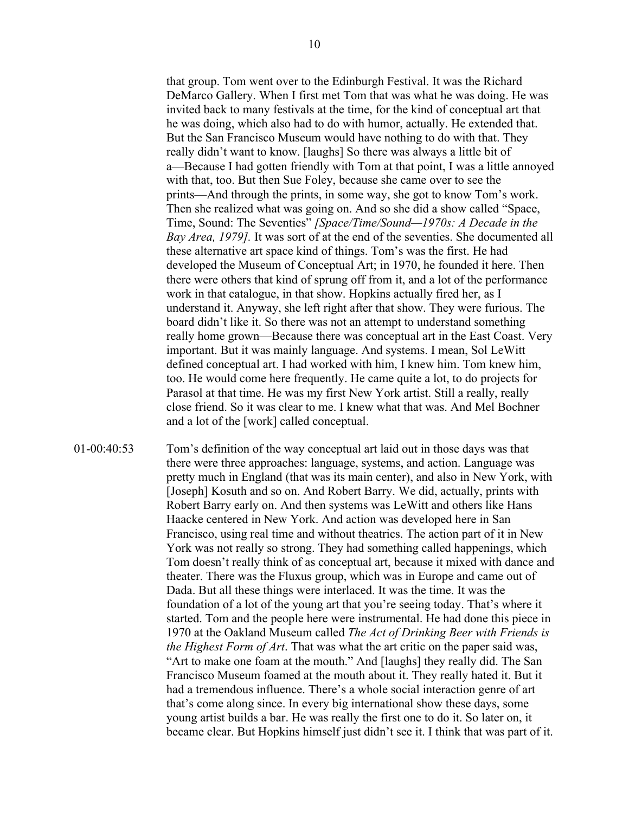that group. Tom went over to the Edinburgh Festival. It was the Richard DeMarco Gallery. When I first met Tom that was what he was doing. He was invited back to many festivals at the time, for the kind of conceptual art that he was doing, which also had to do with humor, actually. He extended that. But the San Francisco Museum would have nothing to do with that. They really didn't want to know. [laughs] So there was always a little bit of a—Because I had gotten friendly with Tom at that point, I was a little annoyed with that, too. But then Sue Foley, because she came over to see the prints—And through the prints, in some way, she got to know Tom's work. Then she realized what was going on. And so she did a show called "Space, Time, Sound: The Seventies" *[Space/Time/Sound—1970s: A Decade in the Bay Area, 1979].* It was sort of at the end of the seventies. She documented all these alternative art space kind of things. Tom's was the first. He had developed the Museum of Conceptual Art; in 1970, he founded it here. Then there were others that kind of sprung off from it, and a lot of the performance work in that catalogue, in that show. Hopkins actually fired her, as I understand it. Anyway, she left right after that show. They were furious. The board didn't like it. So there was not an attempt to understand something really home grown—Because there was conceptual art in the East Coast. Very important. But it was mainly language. And systems. I mean, Sol LeWitt defined conceptual art. I had worked with him, I knew him. Tom knew him, too. He would come here frequently. He came quite a lot, to do projects for Parasol at that time. He was my first New York artist. Still a really, really close friend. So it was clear to me. I knew what that was. And Mel Bochner and a lot of the [work] called conceptual.

01-00:40:53 Tom's definition of the way conceptual art laid out in those days was that there were three approaches: language, systems, and action. Language was pretty much in England (that was its main center), and also in New York, with [Joseph] Kosuth and so on. And Robert Barry. We did, actually, prints with Robert Barry early on. And then systems was LeWitt and others like Hans Haacke centered in New York. And action was developed here in San Francisco, using real time and without theatrics. The action part of it in New York was not really so strong. They had something called happenings, which Tom doesn't really think of as conceptual art, because it mixed with dance and theater. There was the Fluxus group, which was in Europe and came out of Dada. But all these things were interlaced. It was the time. It was the foundation of a lot of the young art that you're seeing today. That's where it started. Tom and the people here were instrumental. He had done this piece in 1970 at the Oakland Museum called *The Act of Drinking Beer with Friends is the Highest Form of Art*. That was what the art critic on the paper said was, "Art to make one foam at the mouth." And [laughs] they really did. The San Francisco Museum foamed at the mouth about it. They really hated it. But it had a tremendous influence. There's a whole social interaction genre of art that's come along since. In every big international show these days, some young artist builds a bar. He was really the first one to do it. So later on, it became clear. But Hopkins himself just didn't see it. I think that was part of it.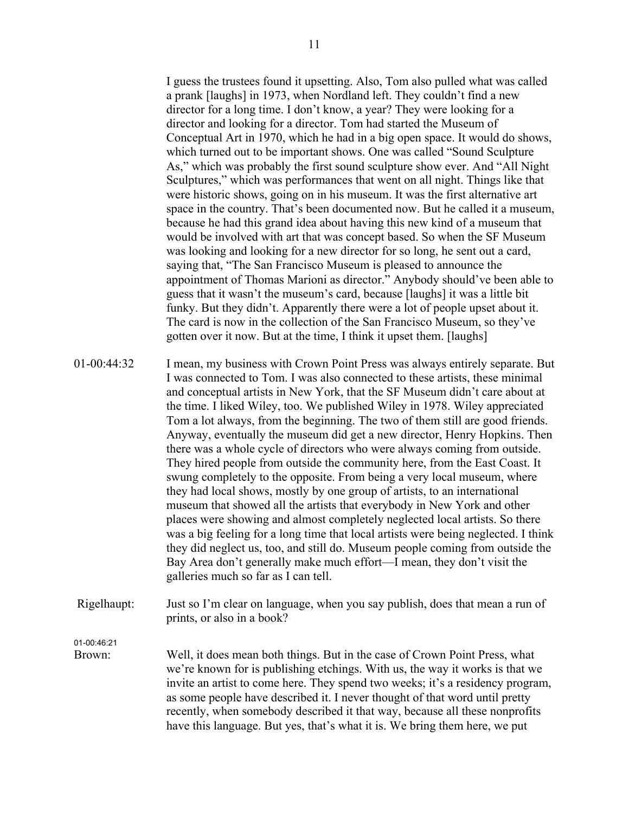I guess the trustees found it upsetting. Also, Tom also pulled what was called a prank [laughs] in 1973, when Nordland left. They couldn't find a new director for a long time. I don't know, a year? They were looking for a director and looking for a director. Tom had started the Museum of Conceptual Art in 1970, which he had in a big open space. It would do shows, which turned out to be important shows. One was called "Sound Sculpture As," which was probably the first sound sculpture show ever. And "All Night Sculptures," which was performances that went on all night. Things like that were historic shows, going on in his museum. It was the first alternative art space in the country. That's been documented now. But he called it a museum, because he had this grand idea about having this new kind of a museum that would be involved with art that was concept based. So when the SF Museum was looking and looking for a new director for so long, he sent out a card, saying that, "The San Francisco Museum is pleased to announce the appointment of Thomas Marioni as director." Anybody should've been able to guess that it wasn't the museum's card, because [laughs] it was a little bit funky. But they didn't. Apparently there were a lot of people upset about it. The card is now in the collection of the San Francisco Museum, so they've gotten over it now. But at the time, I think it upset them. [laughs]

- 01-00:44:32 I mean, my business with Crown Point Press was always entirely separate. But I was connected to Tom. I was also connected to these artists, these minimal and conceptual artists in New York, that the SF Museum didn't care about at the time. I liked Wiley, too. We published Wiley in 1978. Wiley appreciated Tom a lot always, from the beginning. The two of them still are good friends. Anyway, eventually the museum did get a new director, Henry Hopkins. Then there was a whole cycle of directors who were always coming from outside. They hired people from outside the community here, from the East Coast. It swung completely to the opposite. From being a very local museum, where they had local shows, mostly by one group of artists, to an international museum that showed all the artists that everybody in New York and other places were showing and almost completely neglected local artists. So there was a big feeling for a long time that local artists were being neglected. I think they did neglect us, too, and still do. Museum people coming from outside the Bay Area don't generally make much effort—I mean, they don't visit the galleries much so far as I can tell.
- Rigelhaupt: Just so I'm clear on language, when you say publish, does that mean a run of prints, or also in a book?

01-00:46:21

Brown: Well, it does mean both things. But in the case of Crown Point Press, what we're known for is publishing etchings. With us, the way it works is that we invite an artist to come here. They spend two weeks; it's a residency program, as some people have described it. I never thought of that word until pretty recently, when somebody described it that way, because all these nonprofits have this language. But yes, that's what it is. We bring them here, we put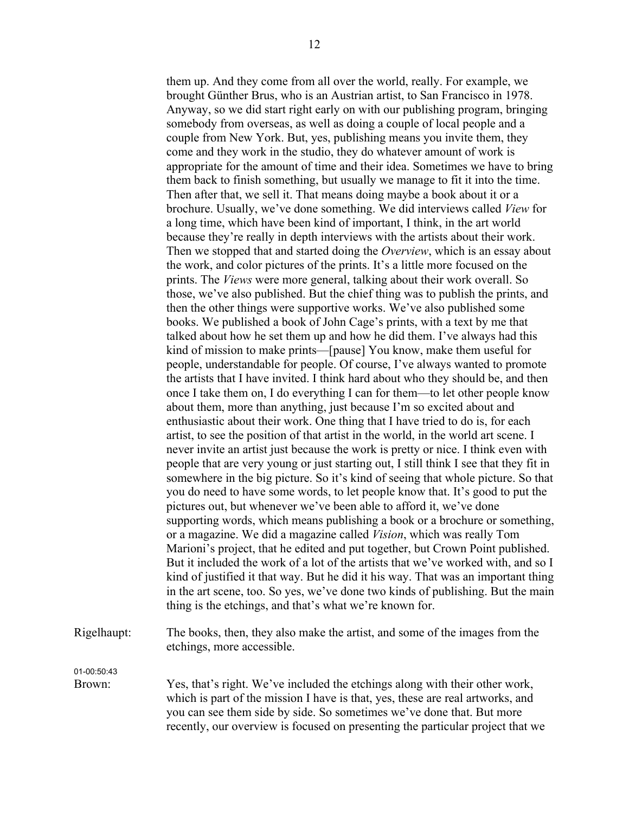them up. And they come from all over the world, really. For example, we brought Günther Brus, who is an Austrian artist, to San Francisco in 1978. Anyway, so we did start right early on with our publishing program, bringing somebody from overseas, as well as doing a couple of local people and a couple from New York. But, yes, publishing means you invite them, they come and they work in the studio, they do whatever amount of work is appropriate for the amount of time and their idea. Sometimes we have to bring them back to finish something, but usually we manage to fit it into the time. Then after that, we sell it. That means doing maybe a book about it or a brochure. Usually, we've done something. We did interviews called *View* for a long time, which have been kind of important, I think, in the art world because they're really in depth interviews with the artists about their work. Then we stopped that and started doing the *Overview*, which is an essay about the work, and color pictures of the prints. It's a little more focused on the prints. The *Views* were more general, talking about their work overall. So those, we've also published. But the chief thing was to publish the prints, and then the other things were supportive works. We've also published some books. We published a book of John Cage's prints, with a text by me that talked about how he set them up and how he did them. I've always had this kind of mission to make prints—[pause] You know, make them useful for people, understandable for people. Of course, I've always wanted to promote the artists that I have invited. I think hard about who they should be, and then once I take them on, I do everything I can for them—to let other people know about them, more than anything, just because I'm so excited about and enthusiastic about their work. One thing that I have tried to do is, for each artist, to see the position of that artist in the world, in the world art scene. I never invite an artist just because the work is pretty or nice. I think even with people that are very young or just starting out, I still think I see that they fit in somewhere in the big picture. So it's kind of seeing that whole picture. So that you do need to have some words, to let people know that. It's good to put the pictures out, but whenever we've been able to afford it, we've done supporting words, which means publishing a book or a brochure or something, or a magazine. We did a magazine called *Vision*, which was really Tom Marioni's project, that he edited and put together, but Crown Point published. But it included the work of a lot of the artists that we've worked with, and so I kind of justified it that way. But he did it his way. That was an important thing in the art scene, too. So yes, we've done two kinds of publishing. But the main thing is the etchings, and that's what we're known for.

Rigelhaupt: The books, then, they also make the artist, and some of the images from the etchings, more accessible.

01-00:50:43

Brown: Yes, that's right. We've included the etchings along with their other work, which is part of the mission I have is that, yes, these are real artworks, and you can see them side by side. So sometimes we've done that. But more recently, our overview is focused on presenting the particular project that we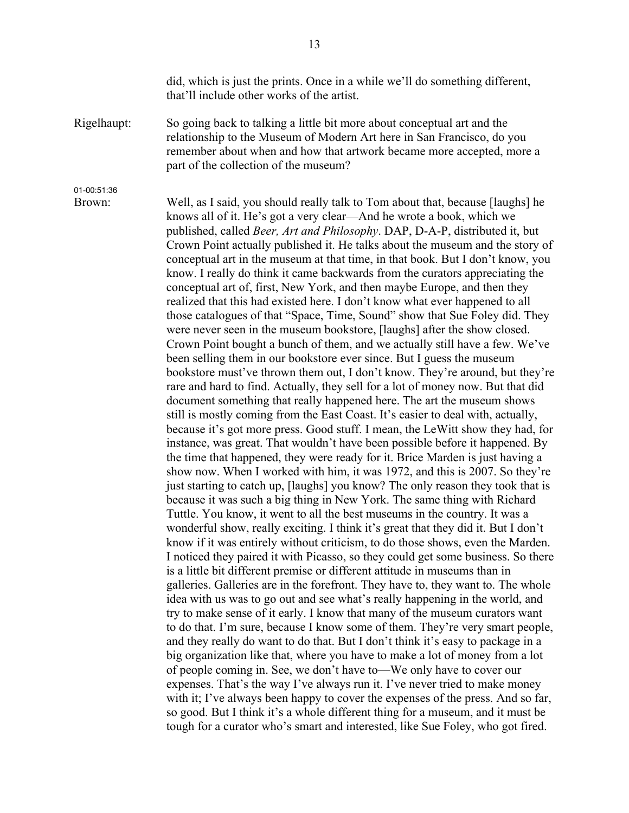did, which is just the prints. Once in a while we'll do something different, that'll include other works of the artist.

Rigelhaupt: So going back to talking a little bit more about conceptual art and the relationship to the Museum of Modern Art here in San Francisco, do you remember about when and how that artwork became more accepted, more a part of the collection of the museum?

01-00:51:36

Brown: Well, as I said, you should really talk to Tom about that, because [laughs] he knows all of it. He's got a very clear—And he wrote a book, which we published, called *Beer, Art and Philosophy*. DAP, D-A-P, distributed it, but Crown Point actually published it. He talks about the museum and the story of conceptual art in the museum at that time, in that book. But I don't know, you know. I really do think it came backwards from the curators appreciating the conceptual art of, first, New York, and then maybe Europe, and then they realized that this had existed here. I don't know what ever happened to all those catalogues of that "Space, Time, Sound" show that Sue Foley did. They were never seen in the museum bookstore, [laughs] after the show closed. Crown Point bought a bunch of them, and we actually still have a few. We've been selling them in our bookstore ever since. But I guess the museum bookstore must've thrown them out, I don't know. They're around, but they're rare and hard to find. Actually, they sell for a lot of money now. But that did document something that really happened here. The art the museum shows still is mostly coming from the East Coast. It's easier to deal with, actually, because it's got more press. Good stuff. I mean, the LeWitt show they had, for instance, was great. That wouldn't have been possible before it happened. By the time that happened, they were ready for it. Brice Marden is just having a show now. When I worked with him, it was 1972, and this is 2007. So they're just starting to catch up, [laughs] you know? The only reason they took that is because it was such a big thing in New York. The same thing with Richard Tuttle. You know, it went to all the best museums in the country. It was a wonderful show, really exciting. I think it's great that they did it. But I don't know if it was entirely without criticism, to do those shows, even the Marden. I noticed they paired it with Picasso, so they could get some business. So there is a little bit different premise or different attitude in museums than in galleries. Galleries are in the forefront. They have to, they want to. The whole idea with us was to go out and see what's really happening in the world, and try to make sense of it early. I know that many of the museum curators want to do that. I'm sure, because I know some of them. They're very smart people, and they really do want to do that. But I don't think it's easy to package in a big organization like that, where you have to make a lot of money from a lot of people coming in. See, we don't have to—We only have to cover our expenses. That's the way I've always run it. I've never tried to make money with it; I've always been happy to cover the expenses of the press. And so far, so good. But I think it's a whole different thing for a museum, and it must be tough for a curator who's smart and interested, like Sue Foley, who got fired.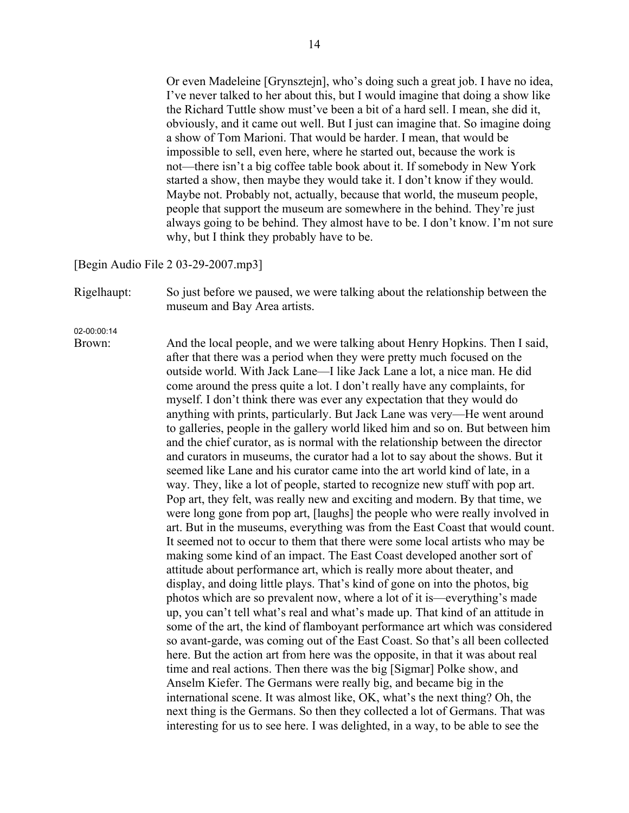Or even Madeleine [Grynsztejn], who's doing such a great job. I have no idea, I've never talked to her about this, but I would imagine that doing a show like the Richard Tuttle show must've been a bit of a hard sell. I mean, she did it, obviously, and it came out well. But I just can imagine that. So imagine doing a show of Tom Marioni. That would be harder. I mean, that would be impossible to sell, even here, where he started out, because the work is not—there isn't a big coffee table book about it. If somebody in New York started a show, then maybe they would take it. I don't know if they would. Maybe not. Probably not, actually, because that world, the museum people, people that support the museum are somewhere in the behind. They're just always going to be behind. They almost have to be. I don't know. I'm not sure why, but I think they probably have to be.

[Begin Audio File 2 03-29-2007.mp3]

Rigelhaupt: So just before we paused, we were talking about the relationship between the museum and Bay Area artists.

02-00:00:14

Brown: And the local people, and we were talking about Henry Hopkins. Then I said, after that there was a period when they were pretty much focused on the outside world. With Jack Lane—I like Jack Lane a lot, a nice man. He did come around the press quite a lot. I don't really have any complaints, for myself. I don't think there was ever any expectation that they would do anything with prints, particularly. But Jack Lane was very—He went around to galleries, people in the gallery world liked him and so on. But between him and the chief curator, as is normal with the relationship between the director and curators in museums, the curator had a lot to say about the shows. But it seemed like Lane and his curator came into the art world kind of late, in a way. They, like a lot of people, started to recognize new stuff with pop art. Pop art, they felt, was really new and exciting and modern. By that time, we were long gone from pop art, [laughs] the people who were really involved in art. But in the museums, everything was from the East Coast that would count. It seemed not to occur to them that there were some local artists who may be making some kind of an impact. The East Coast developed another sort of attitude about performance art, which is really more about theater, and display, and doing little plays. That's kind of gone on into the photos, big photos which are so prevalent now, where a lot of it is—everything's made up, you can't tell what's real and what's made up. That kind of an attitude in some of the art, the kind of flamboyant performance art which was considered so avant-garde, was coming out of the East Coast. So that's all been collected here. But the action art from here was the opposite, in that it was about real time and real actions. Then there was the big [Sigmar] Polke show, and Anselm Kiefer. The Germans were really big, and became big in the international scene. It was almost like, OK, what's the next thing? Oh, the next thing is the Germans. So then they collected a lot of Germans. That was interesting for us to see here. I was delighted, in a way, to be able to see the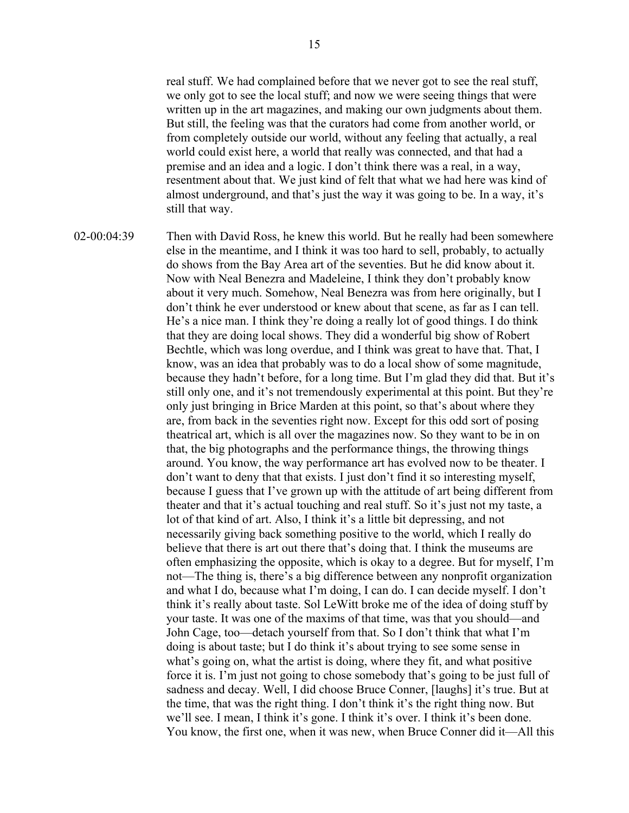real stuff. We had complained before that we never got to see the real stuff, we only got to see the local stuff; and now we were seeing things that were written up in the art magazines, and making our own judgments about them. But still, the feeling was that the curators had come from another world, or from completely outside our world, without any feeling that actually, a real world could exist here, a world that really was connected, and that had a premise and an idea and a logic. I don't think there was a real, in a way, resentment about that. We just kind of felt that what we had here was kind of almost underground, and that's just the way it was going to be. In a way, it's still that way.

02-00:04:39 Then with David Ross, he knew this world. But he really had been somewhere else in the meantime, and I think it was too hard to sell, probably, to actually do shows from the Bay Area art of the seventies. But he did know about it. Now with Neal Benezra and Madeleine, I think they don't probably know about it very much. Somehow, Neal Benezra was from here originally, but I don't think he ever understood or knew about that scene, as far as I can tell. He's a nice man. I think they're doing a really lot of good things. I do think that they are doing local shows. They did a wonderful big show of Robert Bechtle, which was long overdue, and I think was great to have that. That, I know, was an idea that probably was to do a local show of some magnitude, because they hadn't before, for a long time. But I'm glad they did that. But it's still only one, and it's not tremendously experimental at this point. But they're only just bringing in Brice Marden at this point, so that's about where they are, from back in the seventies right now. Except for this odd sort of posing theatrical art, which is all over the magazines now. So they want to be in on that, the big photographs and the performance things, the throwing things around. You know, the way performance art has evolved now to be theater. I don't want to deny that that exists. I just don't find it so interesting myself, because I guess that I've grown up with the attitude of art being different from theater and that it's actual touching and real stuff. So it's just not my taste, a lot of that kind of art. Also, I think it's a little bit depressing, and not necessarily giving back something positive to the world, which I really do believe that there is art out there that's doing that. I think the museums are often emphasizing the opposite, which is okay to a degree. But for myself, I'm not—The thing is, there's a big difference between any nonprofit organization and what I do, because what I'm doing, I can do. I can decide myself. I don't think it's really about taste. Sol LeWitt broke me of the idea of doing stuff by your taste. It was one of the maxims of that time, was that you should—and John Cage, too—detach yourself from that. So I don't think that what I'm doing is about taste; but I do think it's about trying to see some sense in what's going on, what the artist is doing, where they fit, and what positive force it is. I'm just not going to chose somebody that's going to be just full of sadness and decay. Well, I did choose Bruce Conner, [laughs] it's true. But at the time, that was the right thing. I don't think it's the right thing now. But we'll see. I mean, I think it's gone. I think it's over. I think it's been done. You know, the first one, when it was new, when Bruce Conner did it—All this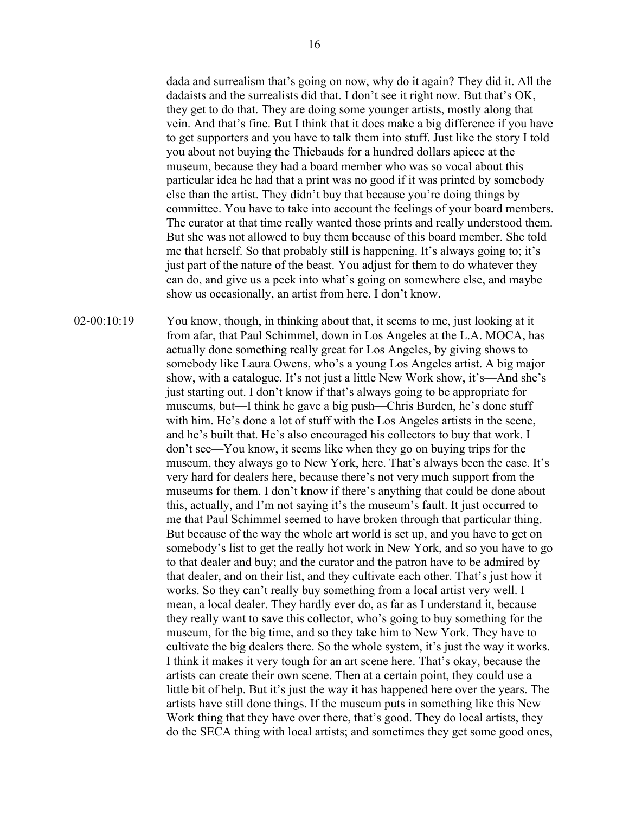dada and surrealism that's going on now, why do it again? They did it. All the dadaists and the surrealists did that. I don't see it right now. But that's OK, they get to do that. They are doing some younger artists, mostly along that vein. And that's fine. But I think that it does make a big difference if you have to get supporters and you have to talk them into stuff. Just like the story I told you about not buying the Thiebauds for a hundred dollars apiece at the museum, because they had a board member who was so vocal about this particular idea he had that a print was no good if it was printed by somebody else than the artist. They didn't buy that because you're doing things by committee. You have to take into account the feelings of your board members. The curator at that time really wanted those prints and really understood them. But she was not allowed to buy them because of this board member. She told me that herself. So that probably still is happening. It's always going to; it's just part of the nature of the beast. You adjust for them to do whatever they can do, and give us a peek into what's going on somewhere else, and maybe show us occasionally, an artist from here. I don't know.

02-00:10:19 You know, though, in thinking about that, it seems to me, just looking at it from afar, that Paul Schimmel, down in Los Angeles at the L.A. MOCA, has actually done something really great for Los Angeles, by giving shows to somebody like Laura Owens, who's a young Los Angeles artist. A big major show, with a catalogue. It's not just a little New Work show, it's—And she's just starting out. I don't know if that's always going to be appropriate for museums, but—I think he gave a big push—Chris Burden, he's done stuff with him. He's done a lot of stuff with the Los Angeles artists in the scene, and he's built that. He's also encouraged his collectors to buy that work. I don't see—You know, it seems like when they go on buying trips for the museum, they always go to New York, here. That's always been the case. It's very hard for dealers here, because there's not very much support from the museums for them. I don't know if there's anything that could be done about this, actually, and I'm not saying it's the museum's fault. It just occurred to me that Paul Schimmel seemed to have broken through that particular thing. But because of the way the whole art world is set up, and you have to get on somebody's list to get the really hot work in New York, and so you have to go to that dealer and buy; and the curator and the patron have to be admired by that dealer, and on their list, and they cultivate each other. That's just how it works. So they can't really buy something from a local artist very well. I mean, a local dealer. They hardly ever do, as far as I understand it, because they really want to save this collector, who's going to buy something for the museum, for the big time, and so they take him to New York. They have to cultivate the big dealers there. So the whole system, it's just the way it works. I think it makes it very tough for an art scene here. That's okay, because the artists can create their own scene. Then at a certain point, they could use a little bit of help. But it's just the way it has happened here over the years. The artists have still done things. If the museum puts in something like this New Work thing that they have over there, that's good. They do local artists, they do the SECA thing with local artists; and sometimes they get some good ones,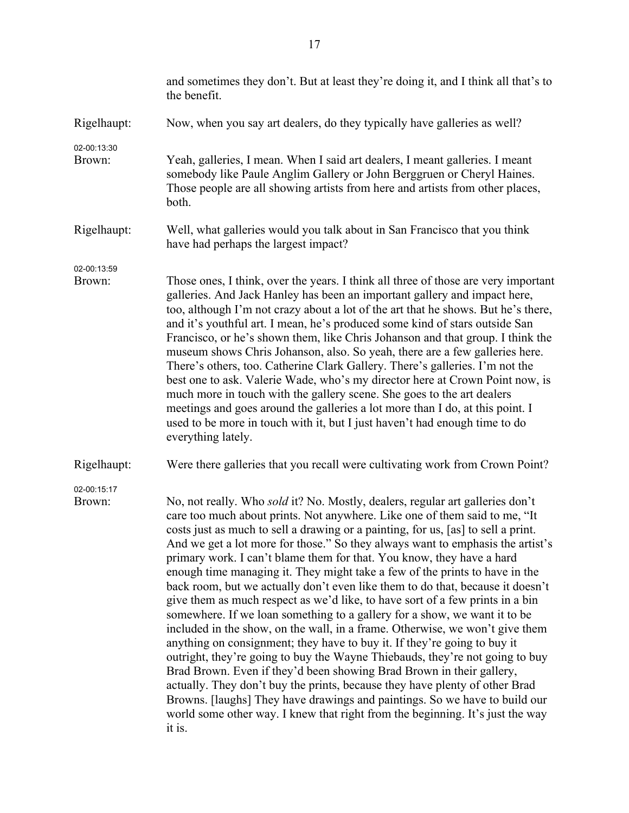|                       | and sometimes they don't. But at least they're doing it, and I think all that's to<br>the benefit.                                                                                                                                                                                                                                                                                                                                                                                                                                                                                                                                                                                                                                                                                                                                                                                                                                                                                                                                                                                                                                                                                                                                                                                                                            |
|-----------------------|-------------------------------------------------------------------------------------------------------------------------------------------------------------------------------------------------------------------------------------------------------------------------------------------------------------------------------------------------------------------------------------------------------------------------------------------------------------------------------------------------------------------------------------------------------------------------------------------------------------------------------------------------------------------------------------------------------------------------------------------------------------------------------------------------------------------------------------------------------------------------------------------------------------------------------------------------------------------------------------------------------------------------------------------------------------------------------------------------------------------------------------------------------------------------------------------------------------------------------------------------------------------------------------------------------------------------------|
| Rigelhaupt:           | Now, when you say art dealers, do they typically have galleries as well?                                                                                                                                                                                                                                                                                                                                                                                                                                                                                                                                                                                                                                                                                                                                                                                                                                                                                                                                                                                                                                                                                                                                                                                                                                                      |
| 02-00:13:30<br>Brown: | Yeah, galleries, I mean. When I said art dealers, I meant galleries. I meant<br>somebody like Paule Anglim Gallery or John Berggruen or Cheryl Haines.<br>Those people are all showing artists from here and artists from other places,<br>both.                                                                                                                                                                                                                                                                                                                                                                                                                                                                                                                                                                                                                                                                                                                                                                                                                                                                                                                                                                                                                                                                              |
| Rigelhaupt:           | Well, what galleries would you talk about in San Francisco that you think<br>have had perhaps the largest impact?                                                                                                                                                                                                                                                                                                                                                                                                                                                                                                                                                                                                                                                                                                                                                                                                                                                                                                                                                                                                                                                                                                                                                                                                             |
| 02-00:13:59<br>Brown: | Those ones, I think, over the years. I think all three of those are very important<br>galleries. And Jack Hanley has been an important gallery and impact here,<br>too, although I'm not crazy about a lot of the art that he shows. But he's there,<br>and it's youthful art. I mean, he's produced some kind of stars outside San<br>Francisco, or he's shown them, like Chris Johanson and that group. I think the<br>museum shows Chris Johanson, also. So yeah, there are a few galleries here.<br>There's others, too. Catherine Clark Gallery. There's galleries. I'm not the<br>best one to ask. Valerie Wade, who's my director here at Crown Point now, is<br>much more in touch with the gallery scene. She goes to the art dealers<br>meetings and goes around the galleries a lot more than I do, at this point. I<br>used to be more in touch with it, but I just haven't had enough time to do<br>everything lately.                                                                                                                                                                                                                                                                                                                                                                                           |
| Rigelhaupt:           | Were there galleries that you recall were cultivating work from Crown Point?                                                                                                                                                                                                                                                                                                                                                                                                                                                                                                                                                                                                                                                                                                                                                                                                                                                                                                                                                                                                                                                                                                                                                                                                                                                  |
| 02-00:15:17<br>Brown: | No, not really. Who <i>sold</i> it? No. Mostly, dealers, regular art galleries don't<br>care too much about prints. Not anywhere. Like one of them said to me, "It<br>costs just as much to sell a drawing or a painting, for us, [as] to sell a print.<br>And we get a lot more for those." So they always want to emphasis the artist's<br>primary work. I can't blame them for that. You know, they have a hard<br>enough time managing it. They might take a few of the prints to have in the<br>back room, but we actually don't even like them to do that, because it doesn't<br>give them as much respect as we'd like, to have sort of a few prints in a bin<br>somewhere. If we loan something to a gallery for a show, we want it to be<br>included in the show, on the wall, in a frame. Otherwise, we won't give them<br>anything on consignment; they have to buy it. If they're going to buy it<br>outright, they're going to buy the Wayne Thiebauds, they're not going to buy<br>Brad Brown. Even if they'd been showing Brad Brown in their gallery,<br>actually. They don't buy the prints, because they have plenty of other Brad<br>Browns. [laughs] They have drawings and paintings. So we have to build our<br>world some other way. I knew that right from the beginning. It's just the way<br>it is. |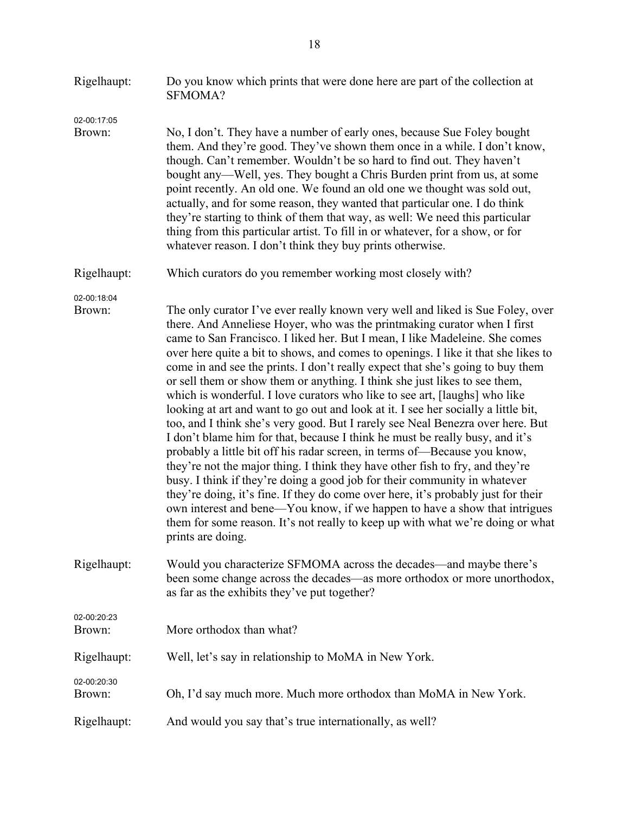| Rigelhaupt:           | Do you know which prints that were done here are part of the collection at<br>SFMOMA?                                                                                                                                                                                                                                                                                                                                                                                                                                                                                                                                                                                                                                                                                                                                                                                                                                                                                                                                                                                                                                                                                                                                                                                                                                                                      |
|-----------------------|------------------------------------------------------------------------------------------------------------------------------------------------------------------------------------------------------------------------------------------------------------------------------------------------------------------------------------------------------------------------------------------------------------------------------------------------------------------------------------------------------------------------------------------------------------------------------------------------------------------------------------------------------------------------------------------------------------------------------------------------------------------------------------------------------------------------------------------------------------------------------------------------------------------------------------------------------------------------------------------------------------------------------------------------------------------------------------------------------------------------------------------------------------------------------------------------------------------------------------------------------------------------------------------------------------------------------------------------------------|
| 02-00:17:05<br>Brown: | No, I don't. They have a number of early ones, because Sue Foley bought<br>them. And they're good. They've shown them once in a while. I don't know,<br>though. Can't remember. Wouldn't be so hard to find out. They haven't<br>bought any—Well, yes. They bought a Chris Burden print from us, at some<br>point recently. An old one. We found an old one we thought was sold out,<br>actually, and for some reason, they wanted that particular one. I do think<br>they're starting to think of them that way, as well: We need this particular<br>thing from this particular artist. To fill in or whatever, for a show, or for<br>whatever reason. I don't think they buy prints otherwise.                                                                                                                                                                                                                                                                                                                                                                                                                                                                                                                                                                                                                                                           |
| Rigelhaupt:           | Which curators do you remember working most closely with?                                                                                                                                                                                                                                                                                                                                                                                                                                                                                                                                                                                                                                                                                                                                                                                                                                                                                                                                                                                                                                                                                                                                                                                                                                                                                                  |
| 02-00:18:04<br>Brown: | The only curator I've ever really known very well and liked is Sue Foley, over<br>there. And Anneliese Hoyer, who was the printmaking curator when I first<br>came to San Francisco. I liked her. But I mean, I like Madeleine. She comes<br>over here quite a bit to shows, and comes to openings. I like it that she likes to<br>come in and see the prints. I don't really expect that she's going to buy them<br>or sell them or show them or anything. I think she just likes to see them,<br>which is wonderful. I love curators who like to see art, [laughs] who like<br>looking at art and want to go out and look at it. I see her socially a little bit,<br>too, and I think she's very good. But I rarely see Neal Benezra over here. But<br>I don't blame him for that, because I think he must be really busy, and it's<br>probably a little bit off his radar screen, in terms of-Because you know,<br>they're not the major thing. I think they have other fish to fry, and they're<br>busy. I think if they're doing a good job for their community in whatever<br>they're doing, it's fine. If they do come over here, it's probably just for their<br>own interest and bene—You know, if we happen to have a show that intrigues<br>them for some reason. It's not really to keep up with what we're doing or what<br>prints are doing. |
| Rigelhaupt:           | Would you characterize SFMOMA across the decades—and maybe there's<br>been some change across the decades—as more orthodox or more unorthodox,<br>as far as the exhibits they've put together?                                                                                                                                                                                                                                                                                                                                                                                                                                                                                                                                                                                                                                                                                                                                                                                                                                                                                                                                                                                                                                                                                                                                                             |
| 02-00:20:23<br>Brown: | More orthodox than what?                                                                                                                                                                                                                                                                                                                                                                                                                                                                                                                                                                                                                                                                                                                                                                                                                                                                                                                                                                                                                                                                                                                                                                                                                                                                                                                                   |
| Rigelhaupt:           | Well, let's say in relationship to MoMA in New York.                                                                                                                                                                                                                                                                                                                                                                                                                                                                                                                                                                                                                                                                                                                                                                                                                                                                                                                                                                                                                                                                                                                                                                                                                                                                                                       |
| 02-00:20:30<br>Brown: | Oh, I'd say much more. Much more orthodox than MoMA in New York.                                                                                                                                                                                                                                                                                                                                                                                                                                                                                                                                                                                                                                                                                                                                                                                                                                                                                                                                                                                                                                                                                                                                                                                                                                                                                           |
| Rigelhaupt:           | And would you say that's true internationally, as well?                                                                                                                                                                                                                                                                                                                                                                                                                                                                                                                                                                                                                                                                                                                                                                                                                                                                                                                                                                                                                                                                                                                                                                                                                                                                                                    |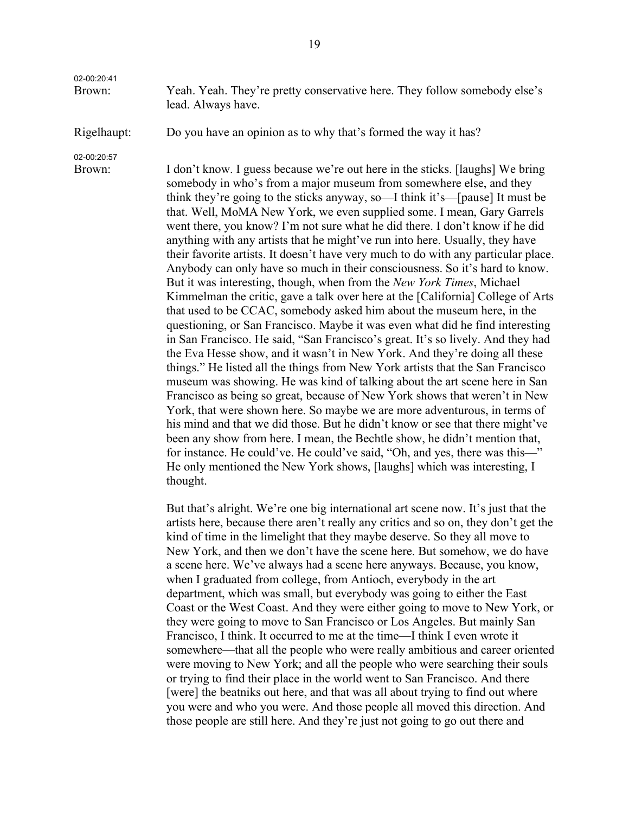02-00:20:41

Brown: Yeah. Yeah. They're pretty conservative here. They follow somebody else's lead. Always have.

Rigelhaupt: Do you have an opinion as to why that's formed the way it has?

02-00:20:57

Brown: I don't know. I guess because we're out here in the sticks. [laughs] We bring somebody in who's from a major museum from somewhere else, and they think they're going to the sticks anyway, so—I think it's—[pause] It must be that. Well, MoMA New York, we even supplied some. I mean, Gary Garrels went there, you know? I'm not sure what he did there. I don't know if he did anything with any artists that he might've run into here. Usually, they have their favorite artists. It doesn't have very much to do with any particular place. Anybody can only have so much in their consciousness. So it's hard to know. But it was interesting, though, when from the *New York Times*, Michael Kimmelman the critic, gave a talk over here at the [California] College of Arts that used to be CCAC, somebody asked him about the museum here, in the questioning, or San Francisco. Maybe it was even what did he find interesting in San Francisco. He said, "San Francisco's great. It's so lively. And they had the Eva Hesse show, and it wasn't in New York. And they're doing all these things." He listed all the things from New York artists that the San Francisco museum was showing. He was kind of talking about the art scene here in San Francisco as being so great, because of New York shows that weren't in New York, that were shown here. So maybe we are more adventurous, in terms of his mind and that we did those. But he didn't know or see that there might've been any show from here. I mean, the Bechtle show, he didn't mention that, for instance. He could've. He could've said, "Oh, and yes, there was this—" He only mentioned the New York shows, [laughs] which was interesting, I thought.

> But that's alright. We're one big international art scene now. It's just that the artists here, because there aren't really any critics and so on, they don't get the kind of time in the limelight that they maybe deserve. So they all move to New York, and then we don't have the scene here. But somehow, we do have a scene here. We've always had a scene here anyways. Because, you know, when I graduated from college, from Antioch, everybody in the art department, which was small, but everybody was going to either the East Coast or the West Coast. And they were either going to move to New York, or they were going to move to San Francisco or Los Angeles. But mainly San Francisco, I think. It occurred to me at the time—I think I even wrote it somewhere—that all the people who were really ambitious and career oriented were moving to New York; and all the people who were searching their souls or trying to find their place in the world went to San Francisco. And there [were] the beatniks out here, and that was all about trying to find out where you were and who you were. And those people all moved this direction. And those people are still here. And they're just not going to go out there and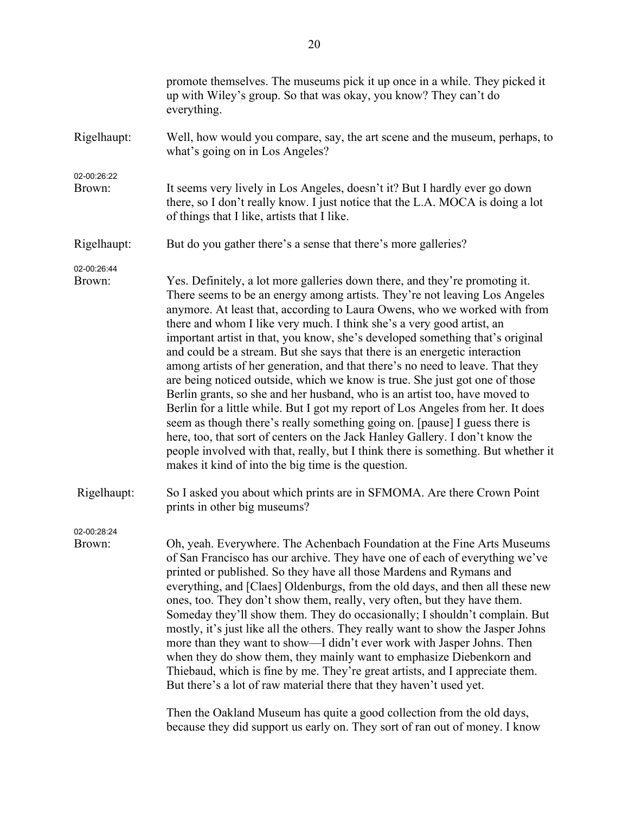| up with Wiley's group. So that was okay, you know? They can't do<br>everything.                                                                                                                                                                                                                                                                                                                                                                                                                                                                                                                                                                                                                                                                                                                                                                                                                                                                                                                                                                                                                                           |
|---------------------------------------------------------------------------------------------------------------------------------------------------------------------------------------------------------------------------------------------------------------------------------------------------------------------------------------------------------------------------------------------------------------------------------------------------------------------------------------------------------------------------------------------------------------------------------------------------------------------------------------------------------------------------------------------------------------------------------------------------------------------------------------------------------------------------------------------------------------------------------------------------------------------------------------------------------------------------------------------------------------------------------------------------------------------------------------------------------------------------|
| Well, how would you compare, say, the art scene and the museum, perhaps, to<br>what's going on in Los Angeles?                                                                                                                                                                                                                                                                                                                                                                                                                                                                                                                                                                                                                                                                                                                                                                                                                                                                                                                                                                                                            |
| It seems very lively in Los Angeles, doesn't it? But I hardly ever go down<br>there, so I don't really know. I just notice that the L.A. MOCA is doing a lot<br>of things that I like, artists that I like.                                                                                                                                                                                                                                                                                                                                                                                                                                                                                                                                                                                                                                                                                                                                                                                                                                                                                                               |
| But do you gather there's a sense that there's more galleries?                                                                                                                                                                                                                                                                                                                                                                                                                                                                                                                                                                                                                                                                                                                                                                                                                                                                                                                                                                                                                                                            |
| Yes. Definitely, a lot more galleries down there, and they're promoting it.<br>There seems to be an energy among artists. They're not leaving Los Angeles<br>anymore. At least that, according to Laura Owens, who we worked with from<br>there and whom I like very much. I think she's a very good artist, an<br>important artist in that, you know, she's developed something that's original<br>and could be a stream. But she says that there is an energetic interaction<br>among artists of her generation, and that there's no need to leave. That they<br>are being noticed outside, which we know is true. She just got one of those<br>Berlin grants, so she and her husband, who is an artist too, have moved to<br>Berlin for a little while. But I got my report of Los Angeles from her. It does<br>seem as though there's really something going on. [pause] I guess there is<br>here, too, that sort of centers on the Jack Hanley Gallery. I don't know the<br>people involved with that, really, but I think there is something. But whether it<br>makes it kind of into the big time is the question. |
| So I asked you about which prints are in SFMOMA. Are there Crown Point<br>prints in other big museums?                                                                                                                                                                                                                                                                                                                                                                                                                                                                                                                                                                                                                                                                                                                                                                                                                                                                                                                                                                                                                    |
| Oh, yeah. Everywhere. The Achenbach Foundation at the Fine Arts Museums<br>of San Francisco has our archive. They have one of each of everything we've<br>printed or published. So they have all those Mardens and Rymans and<br>everything, and [Claes] Oldenburgs, from the old days, and then all these new<br>ones, too. They don't show them, really, very often, but they have them.<br>Someday they'll show them. They do occasionally; I shouldn't complain. But<br>mostly, it's just like all the others. They really want to show the Jasper Johns<br>more than they want to show—I didn't ever work with Jasper Johns. Then<br>when they do show them, they mainly want to emphasize Diebenkorn and<br>Thiebaud, which is fine by me. They're great artists, and I appreciate them.<br>But there's a lot of raw material there that they haven't used yet.<br>Then the Oakland Museum has quite a good collection from the old days,<br>because they did support us early on. They sort of ran out of money. I know                                                                                            |
|                                                                                                                                                                                                                                                                                                                                                                                                                                                                                                                                                                                                                                                                                                                                                                                                                                                                                                                                                                                                                                                                                                                           |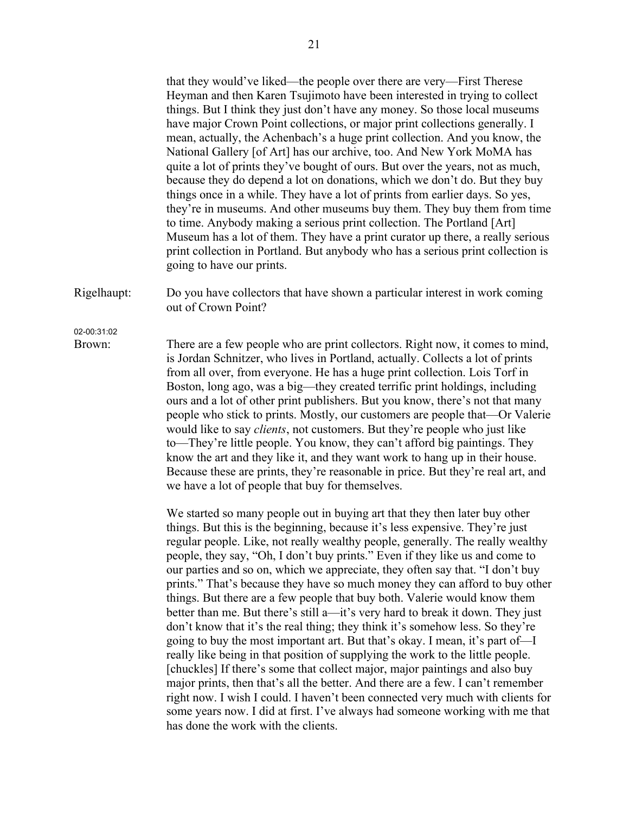that they would've liked—the people over there are very—First Therese Heyman and then Karen Tsujimoto have been interested in trying to collect things. But I think they just don't have any money. So those local museums have major Crown Point collections, or major print collections generally. I mean, actually, the Achenbach's a huge print collection. And you know, the National Gallery [of Art] has our archive, too. And New York MoMA has quite a lot of prints they've bought of ours. But over the years, not as much, because they do depend a lot on donations, which we don't do. But they buy things once in a while. They have a lot of prints from earlier days. So yes, they're in museums. And other museums buy them. They buy them from time to time. Anybody making a serious print collection. The Portland [Art] Museum has a lot of them. They have a print curator up there, a really serious print collection in Portland. But anybody who has a serious print collection is going to have our prints.

Rigelhaupt: Do you have collectors that have shown a particular interest in work coming out of Crown Point?

02-00:31:02

Brown: There are a few people who are print collectors. Right now, it comes to mind, is Jordan Schnitzer, who lives in Portland, actually. Collects a lot of prints from all over, from everyone. He has a huge print collection. Lois Torf in Boston, long ago, was a big—they created terrific print holdings, including ours and a lot of other print publishers. But you know, there's not that many people who stick to prints. Mostly, our customers are people that—Or Valerie would like to say *clients*, not customers. But they're people who just like to—They're little people. You know, they can't afford big paintings. They know the art and they like it, and they want work to hang up in their house. Because these are prints, they're reasonable in price. But they're real art, and we have a lot of people that buy for themselves.

> We started so many people out in buying art that they then later buy other things. But this is the beginning, because it's less expensive. They're just regular people. Like, not really wealthy people, generally. The really wealthy people, they say, "Oh, I don't buy prints." Even if they like us and come to our parties and so on, which we appreciate, they often say that. "I don't buy prints." That's because they have so much money they can afford to buy other things. But there are a few people that buy both. Valerie would know them better than me. But there's still a—it's very hard to break it down. They just don't know that it's the real thing; they think it's somehow less. So they're going to buy the most important art. But that's okay. I mean, it's part of—I really like being in that position of supplying the work to the little people. [chuckles] If there's some that collect major, major paintings and also buy major prints, then that's all the better. And there are a few. I can't remember right now. I wish I could. I haven't been connected very much with clients for some years now. I did at first. I've always had someone working with me that has done the work with the clients.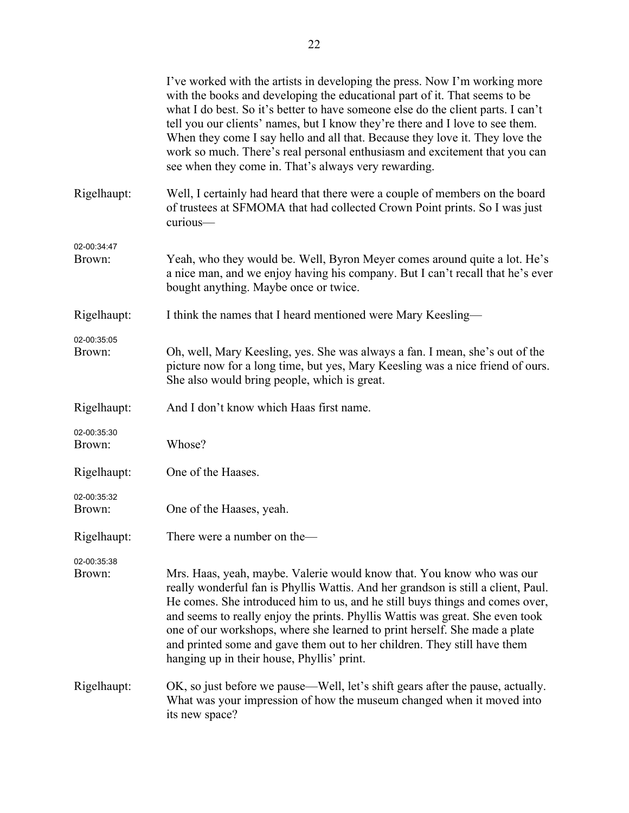|                       | I've worked with the artists in developing the press. Now I'm working more<br>with the books and developing the educational part of it. That seems to be<br>what I do best. So it's better to have someone else do the client parts. I can't<br>tell you our clients' names, but I know they're there and I love to see them.<br>When they come I say hello and all that. Because they love it. They love the<br>work so much. There's real personal enthusiasm and excitement that you can<br>see when they come in. That's always very rewarding. |
|-----------------------|-----------------------------------------------------------------------------------------------------------------------------------------------------------------------------------------------------------------------------------------------------------------------------------------------------------------------------------------------------------------------------------------------------------------------------------------------------------------------------------------------------------------------------------------------------|
| Rigelhaupt:           | Well, I certainly had heard that there were a couple of members on the board<br>of trustees at SFMOMA that had collected Crown Point prints. So I was just<br>curious-                                                                                                                                                                                                                                                                                                                                                                              |
| 02-00:34:47<br>Brown: | Yeah, who they would be. Well, Byron Meyer comes around quite a lot. He's<br>a nice man, and we enjoy having his company. But I can't recall that he's ever<br>bought anything. Maybe once or twice.                                                                                                                                                                                                                                                                                                                                                |
| Rigelhaupt:           | I think the names that I heard mentioned were Mary Keesling—                                                                                                                                                                                                                                                                                                                                                                                                                                                                                        |
| 02-00:35:05<br>Brown: | Oh, well, Mary Keesling, yes. She was always a fan. I mean, she's out of the<br>picture now for a long time, but yes, Mary Keesling was a nice friend of ours.<br>She also would bring people, which is great.                                                                                                                                                                                                                                                                                                                                      |
| Rigelhaupt:           | And I don't know which Haas first name.                                                                                                                                                                                                                                                                                                                                                                                                                                                                                                             |
| 02-00:35:30<br>Brown: | Whose?                                                                                                                                                                                                                                                                                                                                                                                                                                                                                                                                              |
| Rigelhaupt:           | One of the Haases.                                                                                                                                                                                                                                                                                                                                                                                                                                                                                                                                  |
| 02-00:35:32<br>Brown: | One of the Haases, yeah.                                                                                                                                                                                                                                                                                                                                                                                                                                                                                                                            |
| Rigelhaupt:           | There were a number on the-                                                                                                                                                                                                                                                                                                                                                                                                                                                                                                                         |
| 02-00:35:38<br>Brown: | Mrs. Haas, yeah, maybe. Valerie would know that. You know who was our<br>really wonderful fan is Phyllis Wattis. And her grandson is still a client, Paul.<br>He comes. She introduced him to us, and he still buys things and comes over,<br>and seems to really enjoy the prints. Phyllis Wattis was great. She even took<br>one of our workshops, where she learned to print herself. She made a plate<br>and printed some and gave them out to her children. They still have them<br>hanging up in their house, Phyllis' print.                 |
| Rigelhaupt:           | OK, so just before we pause—Well, let's shift gears after the pause, actually.<br>What was your impression of how the museum changed when it moved into<br>its new space?                                                                                                                                                                                                                                                                                                                                                                           |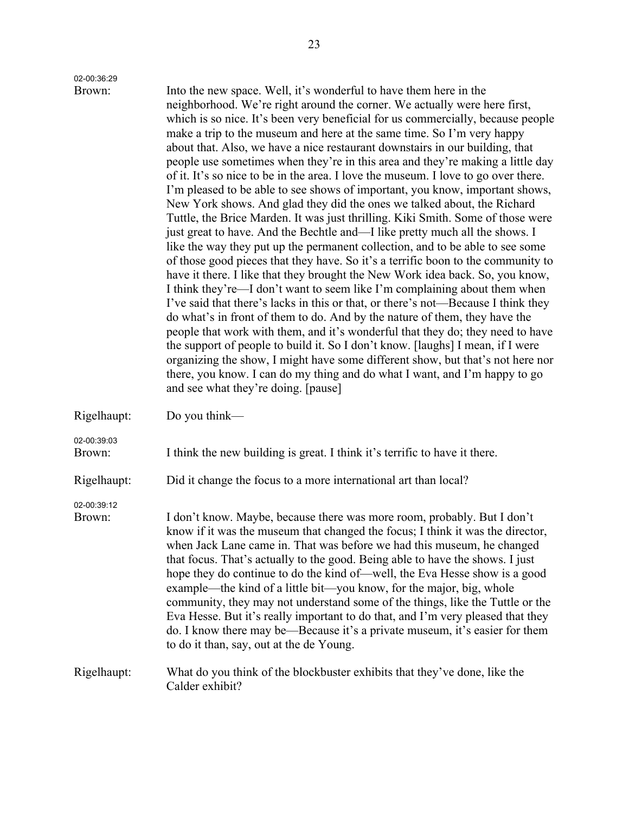| 02-00:36:29           |                                                                                                                                                                                                                                                                                                                                                                                                                                                                                                                                                                                                                                                                                                                                                                                                                                                                                                                                                                                                                                                                                                                                                                                                                                                                                                                                                                                                                                                                                                                                                                                                                                                                                                                                                                                   |
|-----------------------|-----------------------------------------------------------------------------------------------------------------------------------------------------------------------------------------------------------------------------------------------------------------------------------------------------------------------------------------------------------------------------------------------------------------------------------------------------------------------------------------------------------------------------------------------------------------------------------------------------------------------------------------------------------------------------------------------------------------------------------------------------------------------------------------------------------------------------------------------------------------------------------------------------------------------------------------------------------------------------------------------------------------------------------------------------------------------------------------------------------------------------------------------------------------------------------------------------------------------------------------------------------------------------------------------------------------------------------------------------------------------------------------------------------------------------------------------------------------------------------------------------------------------------------------------------------------------------------------------------------------------------------------------------------------------------------------------------------------------------------------------------------------------------------|
| Brown:                | Into the new space. Well, it's wonderful to have them here in the<br>neighborhood. We're right around the corner. We actually were here first,<br>which is so nice. It's been very beneficial for us commercially, because people<br>make a trip to the museum and here at the same time. So I'm very happy<br>about that. Also, we have a nice restaurant downstairs in our building, that<br>people use sometimes when they're in this area and they're making a little day<br>of it. It's so nice to be in the area. I love the museum. I love to go over there.<br>I'm pleased to be able to see shows of important, you know, important shows,<br>New York shows. And glad they did the ones we talked about, the Richard<br>Tuttle, the Brice Marden. It was just thrilling. Kiki Smith. Some of those were<br>just great to have. And the Bechtle and—I like pretty much all the shows. I<br>like the way they put up the permanent collection, and to be able to see some<br>of those good pieces that they have. So it's a terrific boon to the community to<br>have it there. I like that they brought the New Work idea back. So, you know,<br>I think they're—I don't want to seem like I'm complaining about them when<br>I've said that there's lacks in this or that, or there's not—Because I think they<br>do what's in front of them to do. And by the nature of them, they have the<br>people that work with them, and it's wonderful that they do; they need to have<br>the support of people to build it. So I don't know. [laughs] I mean, if I were<br>organizing the show, I might have some different show, but that's not here nor<br>there, you know. I can do my thing and do what I want, and I'm happy to go<br>and see what they're doing. [pause] |
| Rigelhaupt:           | Do you think—                                                                                                                                                                                                                                                                                                                                                                                                                                                                                                                                                                                                                                                                                                                                                                                                                                                                                                                                                                                                                                                                                                                                                                                                                                                                                                                                                                                                                                                                                                                                                                                                                                                                                                                                                                     |
| 02-00:39:03<br>Brown: | I think the new building is great. I think it's terrific to have it there.                                                                                                                                                                                                                                                                                                                                                                                                                                                                                                                                                                                                                                                                                                                                                                                                                                                                                                                                                                                                                                                                                                                                                                                                                                                                                                                                                                                                                                                                                                                                                                                                                                                                                                        |
| Rigelhaupt:           | Did it change the focus to a more international art than local?                                                                                                                                                                                                                                                                                                                                                                                                                                                                                                                                                                                                                                                                                                                                                                                                                                                                                                                                                                                                                                                                                                                                                                                                                                                                                                                                                                                                                                                                                                                                                                                                                                                                                                                   |
| 02-00:39:12<br>Brown: | I don't know. Maybe, because there was more room, probably. But I don't<br>know if it was the museum that changed the focus; I think it was the director,<br>when Jack Lane came in. That was before we had this museum, he changed<br>that focus. That's actually to the good. Being able to have the shows. I just<br>hope they do continue to do the kind of—well, the Eva Hesse show is a good<br>example—the kind of a little bit—you know, for the major, big, whole<br>community, they may not understand some of the things, like the Tuttle or the<br>Eva Hesse. But it's really important to do that, and I'm very pleased that they<br>do. I know there may be—Because it's a private museum, it's easier for them<br>to do it than, say, out at the de Young.                                                                                                                                                                                                                                                                                                                                                                                                                                                                                                                                                                                                                                                                                                                                                                                                                                                                                                                                                                                                         |
| Rigelhaupt:           | What do you think of the blockbuster exhibits that they've done, like the<br>Calder exhibit?                                                                                                                                                                                                                                                                                                                                                                                                                                                                                                                                                                                                                                                                                                                                                                                                                                                                                                                                                                                                                                                                                                                                                                                                                                                                                                                                                                                                                                                                                                                                                                                                                                                                                      |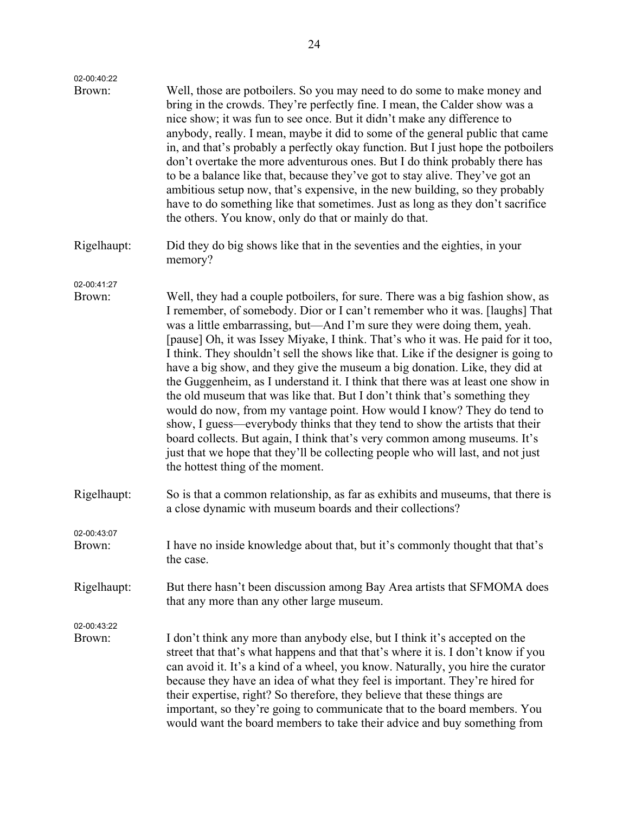| 02-00:40:22           |                                                                                                                                                                                                                                                                                                                                                                                                                                                                                                                                                                                                                                                                                                                                                                                                                                                                                                                                                                                                                                  |
|-----------------------|----------------------------------------------------------------------------------------------------------------------------------------------------------------------------------------------------------------------------------------------------------------------------------------------------------------------------------------------------------------------------------------------------------------------------------------------------------------------------------------------------------------------------------------------------------------------------------------------------------------------------------------------------------------------------------------------------------------------------------------------------------------------------------------------------------------------------------------------------------------------------------------------------------------------------------------------------------------------------------------------------------------------------------|
| Brown:                | Well, those are potboilers. So you may need to do some to make money and<br>bring in the crowds. They're perfectly fine. I mean, the Calder show was a<br>nice show; it was fun to see once. But it didn't make any difference to<br>anybody, really. I mean, maybe it did to some of the general public that came<br>in, and that's probably a perfectly okay function. But I just hope the potboilers<br>don't overtake the more adventurous ones. But I do think probably there has<br>to be a balance like that, because they've got to stay alive. They've got an<br>ambitious setup now, that's expensive, in the new building, so they probably<br>have to do something like that sometimes. Just as long as they don't sacrifice<br>the others. You know, only do that or mainly do that.                                                                                                                                                                                                                                |
| Rigelhaupt:           | Did they do big shows like that in the seventies and the eighties, in your<br>memory?                                                                                                                                                                                                                                                                                                                                                                                                                                                                                                                                                                                                                                                                                                                                                                                                                                                                                                                                            |
| 02-00:41:27           |                                                                                                                                                                                                                                                                                                                                                                                                                                                                                                                                                                                                                                                                                                                                                                                                                                                                                                                                                                                                                                  |
| Brown:                | Well, they had a couple potboilers, for sure. There was a big fashion show, as<br>I remember, of somebody. Dior or I can't remember who it was. [laughs] That<br>was a little embarrassing, but—And I'm sure they were doing them, yeah.<br>[pause] Oh, it was Issey Miyake, I think. That's who it was. He paid for it too,<br>I think. They shouldn't sell the shows like that. Like if the designer is going to<br>have a big show, and they give the museum a big donation. Like, they did at<br>the Guggenheim, as I understand it. I think that there was at least one show in<br>the old museum that was like that. But I don't think that's something they<br>would do now, from my vantage point. How would I know? They do tend to<br>show, I guess—everybody thinks that they tend to show the artists that their<br>board collects. But again, I think that's very common among museums. It's<br>just that we hope that they'll be collecting people who will last, and not just<br>the hottest thing of the moment. |
| Rigelhaupt:           | So is that a common relationship, as far as exhibits and museums, that there is<br>a close dynamic with museum boards and their collections?                                                                                                                                                                                                                                                                                                                                                                                                                                                                                                                                                                                                                                                                                                                                                                                                                                                                                     |
| 02-00:43:07           |                                                                                                                                                                                                                                                                                                                                                                                                                                                                                                                                                                                                                                                                                                                                                                                                                                                                                                                                                                                                                                  |
| Brown:                | I have no inside knowledge about that, but it's commonly thought that that's<br>the case.                                                                                                                                                                                                                                                                                                                                                                                                                                                                                                                                                                                                                                                                                                                                                                                                                                                                                                                                        |
| Rigelhaupt:           | But there hasn't been discussion among Bay Area artists that SFMOMA does<br>that any more than any other large museum.                                                                                                                                                                                                                                                                                                                                                                                                                                                                                                                                                                                                                                                                                                                                                                                                                                                                                                           |
| 02-00:43:22<br>Brown: | I don't think any more than anybody else, but I think it's accepted on the<br>street that that's what happens and that that's where it is. I don't know if you<br>can avoid it. It's a kind of a wheel, you know. Naturally, you hire the curator<br>because they have an idea of what they feel is important. They're hired for<br>their expertise, right? So therefore, they believe that these things are<br>important, so they're going to communicate that to the board members. You<br>would want the board members to take their advice and buy something from                                                                                                                                                                                                                                                                                                                                                                                                                                                            |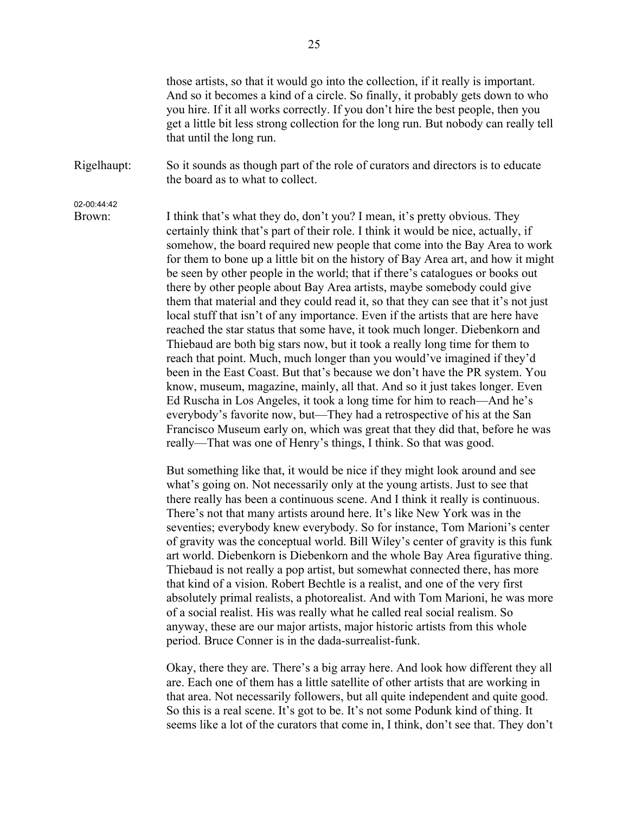those artists, so that it would go into the collection, if it really is important. And so it becomes a kind of a circle. So finally, it probably gets down to who you hire. If it all works correctly. If you don't hire the best people, then you get a little bit less strong collection for the long run. But nobody can really tell that until the long run.

Rigelhaupt: So it sounds as though part of the role of curators and directors is to educate the board as to what to collect.

02-00:44:42

Brown: I think that's what they do, don't you? I mean, it's pretty obvious. They certainly think that's part of their role. I think it would be nice, actually, if somehow, the board required new people that come into the Bay Area to work for them to bone up a little bit on the history of Bay Area art, and how it might be seen by other people in the world; that if there's catalogues or books out there by other people about Bay Area artists, maybe somebody could give them that material and they could read it, so that they can see that it's not just local stuff that isn't of any importance. Even if the artists that are here have reached the star status that some have, it took much longer. Diebenkorn and Thiebaud are both big stars now, but it took a really long time for them to reach that point. Much, much longer than you would've imagined if they'd been in the East Coast. But that's because we don't have the PR system. You know, museum, magazine, mainly, all that. And so it just takes longer. Even Ed Ruscha in Los Angeles, it took a long time for him to reach—And he's everybody's favorite now, but—They had a retrospective of his at the San Francisco Museum early on, which was great that they did that, before he was really—That was one of Henry's things, I think. So that was good.

> But something like that, it would be nice if they might look around and see what's going on. Not necessarily only at the young artists. Just to see that there really has been a continuous scene. And I think it really is continuous. There's not that many artists around here. It's like New York was in the seventies; everybody knew everybody. So for instance, Tom Marioni's center of gravity was the conceptual world. Bill Wiley's center of gravity is this funk art world. Diebenkorn is Diebenkorn and the whole Bay Area figurative thing. Thiebaud is not really a pop artist, but somewhat connected there, has more that kind of a vision. Robert Bechtle is a realist, and one of the very first absolutely primal realists, a photorealist. And with Tom Marioni, he was more of a social realist. His was really what he called real social realism. So anyway, these are our major artists, major historic artists from this whole period. Bruce Conner is in the dada-surrealist-funk.

> Okay, there they are. There's a big array here. And look how different they all are. Each one of them has a little satellite of other artists that are working in that area. Not necessarily followers, but all quite independent and quite good. So this is a real scene. It's got to be. It's not some Podunk kind of thing. It seems like a lot of the curators that come in, I think, don't see that. They don't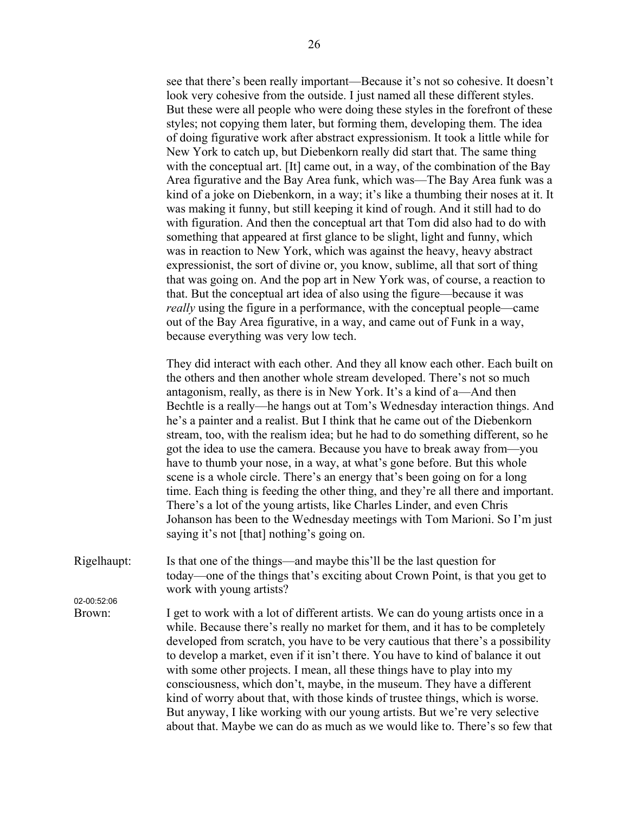see that there's been really important—Because it's not so cohesive. It doesn't look very cohesive from the outside. I just named all these different styles. But these were all people who were doing these styles in the forefront of these styles; not copying them later, but forming them, developing them. The idea of doing figurative work after abstract expressionism. It took a little while for New York to catch up, but Diebenkorn really did start that. The same thing with the conceptual art. [It] came out, in a way, of the combination of the Bay Area figurative and the Bay Area funk, which was—The Bay Area funk was a kind of a joke on Diebenkorn, in a way; it's like a thumbing their noses at it. It was making it funny, but still keeping it kind of rough. And it still had to do with figuration. And then the conceptual art that Tom did also had to do with something that appeared at first glance to be slight, light and funny, which was in reaction to New York, which was against the heavy, heavy abstract expressionist, the sort of divine or, you know, sublime, all that sort of thing that was going on. And the pop art in New York was, of course, a reaction to that. But the conceptual art idea of also using the figure—because it was *really* using the figure in a performance, with the conceptual people—came out of the Bay Area figurative, in a way, and came out of Funk in a way, because everything was very low tech.

They did interact with each other. And they all know each other. Each built on the others and then another whole stream developed. There's not so much antagonism, really, as there is in New York. It's a kind of a—And then Bechtle is a really—he hangs out at Tom's Wednesday interaction things. And he's a painter and a realist. But I think that he came out of the Diebenkorn stream, too, with the realism idea; but he had to do something different, so he got the idea to use the camera. Because you have to break away from—you have to thumb your nose, in a way, at what's gone before. But this whole scene is a whole circle. There's an energy that's been going on for a long time. Each thing is feeding the other thing, and they're all there and important. There's a lot of the young artists, like Charles Linder, and even Chris Johanson has been to the Wednesday meetings with Tom Marioni. So I'm just saying it's not [that] nothing's going on.

Rigelhaupt: Is that one of the things—and maybe this'll be the last question for today—one of the things that's exciting about Crown Point, is that you get to work with young artists? 02-00:52:06

Brown: I get to work with a lot of different artists. We can do young artists once in a

while. Because there's really no market for them, and it has to be completely developed from scratch, you have to be very cautious that there's a possibility to develop a market, even if it isn't there. You have to kind of balance it out with some other projects. I mean, all these things have to play into my consciousness, which don't, maybe, in the museum. They have a different kind of worry about that, with those kinds of trustee things, which is worse. But anyway, I like working with our young artists. But we're very selective about that. Maybe we can do as much as we would like to. There's so few that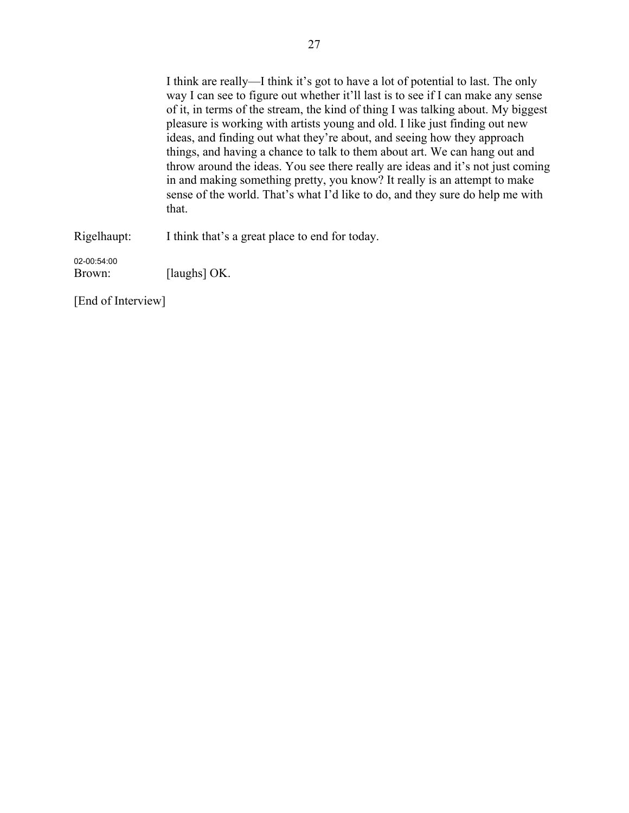I think are really—I think it's got to have a lot of potential to last. The only way I can see to figure out whether it'll last is to see if I can make any sense of it, in terms of the stream, the kind of thing I was talking about. My biggest pleasure is working with artists young and old. I like just finding out new ideas, and finding out what they're about, and seeing how they approach things, and having a chance to talk to them about art. We can hang out and throw around the ideas. You see there really are ideas and it's not just coming in and making something pretty, you know? It really is an attempt to make sense of the world. That's what I'd like to do, and they sure do help me with that.

Rigelhaupt: I think that's a great place to end for today.

02-00:54:00 Brown: [laughs] OK.

[End of Interview]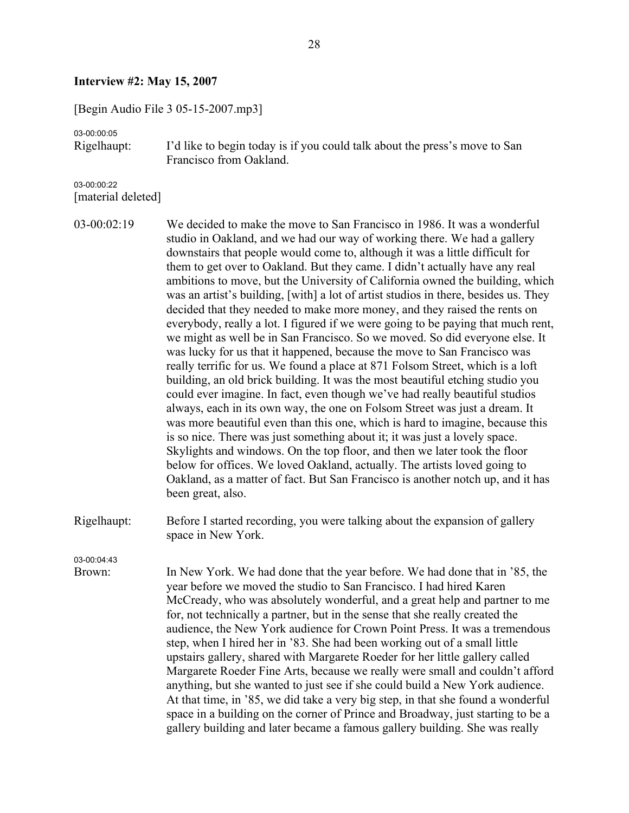#### **Interview #2: May 15, 2007**

[Begin Audio File 3 05-15-2007.mp3]

03-00:00:05

Rigelhaupt: I'd like to begin today is if you could talk about the press's move to San Francisco from Oakland.

03-00:00:22 [material deleted]

03-00:02:19 We decided to make the move to San Francisco in 1986. It was a wonderful studio in Oakland, and we had our way of working there. We had a gallery downstairs that people would come to, although it was a little difficult for them to get over to Oakland. But they came. I didn't actually have any real ambitions to move, but the University of California owned the building, which was an artist's building, [with] a lot of artist studios in there, besides us. They decided that they needed to make more money, and they raised the rents on everybody, really a lot. I figured if we were going to be paying that much rent, we might as well be in San Francisco. So we moved. So did everyone else. It was lucky for us that it happened, because the move to San Francisco was really terrific for us. We found a place at 871 Folsom Street, which is a loft building, an old brick building. It was the most beautiful etching studio you could ever imagine. In fact, even though we've had really beautiful studios always, each in its own way, the one on Folsom Street was just a dream. It was more beautiful even than this one, which is hard to imagine, because this is so nice. There was just something about it; it was just a lovely space. Skylights and windows. On the top floor, and then we later took the floor below for offices. We loved Oakland, actually. The artists loved going to Oakland, as a matter of fact. But San Francisco is another notch up, and it has been great, also.

Rigelhaupt: Before I started recording, you were talking about the expansion of gallery space in New York.

03-00:04:43

Brown: In New York. We had done that the year before. We had done that in '85, the year before we moved the studio to San Francisco. I had hired Karen McCready, who was absolutely wonderful, and a great help and partner to me for, not technically a partner, but in the sense that she really created the audience, the New York audience for Crown Point Press. It was a tremendous step, when I hired her in '83. She had been working out of a small little upstairs gallery, shared with Margarete Roeder for her little gallery called Margarete Roeder Fine Arts, because we really were small and couldn't afford anything, but she wanted to just see if she could build a New York audience. At that time, in '85, we did take a very big step, in that she found a wonderful space in a building on the corner of Prince and Broadway, just starting to be a gallery building and later became a famous gallery building. She was really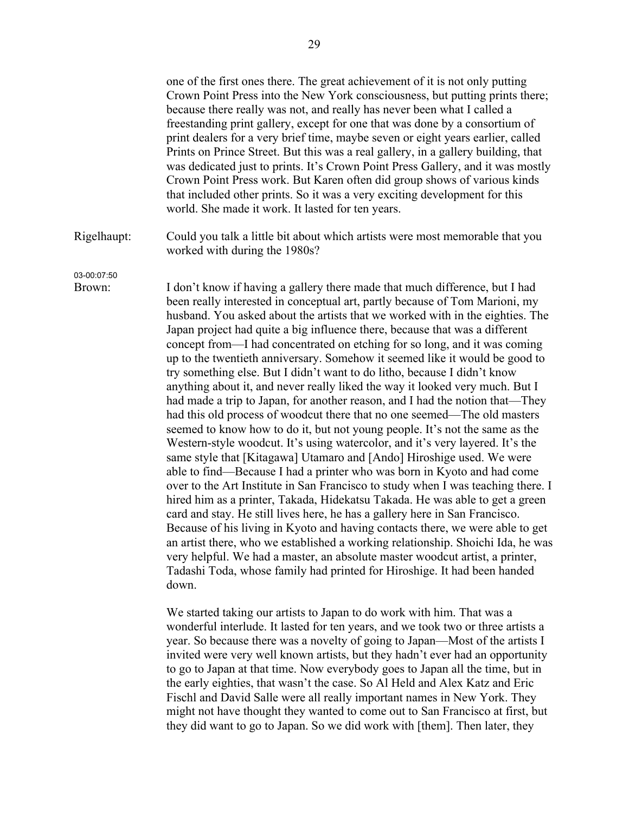one of the first ones there. The great achievement of it is not only putting Crown Point Press into the New York consciousness, but putting prints there; because there really was not, and really has never been what I called a freestanding print gallery, except for one that was done by a consortium of print dealers for a very brief time, maybe seven or eight years earlier, called Prints on Prince Street. But this was a real gallery, in a gallery building, that was dedicated just to prints. It's Crown Point Press Gallery, and it was mostly Crown Point Press work. But Karen often did group shows of various kinds that included other prints. So it was a very exciting development for this world. She made it work. It lasted for ten years.

Rigelhaupt: Could you talk a little bit about which artists were most memorable that you worked with during the 1980s?

03-00:07:50

Brown: I don't know if having a gallery there made that much difference, but I had been really interested in conceptual art, partly because of Tom Marioni, my husband. You asked about the artists that we worked with in the eighties. The Japan project had quite a big influence there, because that was a different concept from—I had concentrated on etching for so long, and it was coming up to the twentieth anniversary. Somehow it seemed like it would be good to try something else. But I didn't want to do litho, because I didn't know anything about it, and never really liked the way it looked very much. But I had made a trip to Japan, for another reason, and I had the notion that—They had this old process of woodcut there that no one seemed—The old masters seemed to know how to do it, but not young people. It's not the same as the Western-style woodcut. It's using watercolor, and it's very layered. It's the same style that [Kitagawa] Utamaro and [Ando] Hiroshige used. We were able to find—Because I had a printer who was born in Kyoto and had come over to the Art Institute in San Francisco to study when I was teaching there. I hired him as a printer, Takada, Hidekatsu Takada. He was able to get a green card and stay. He still lives here, he has a gallery here in San Francisco. Because of his living in Kyoto and having contacts there, we were able to get an artist there, who we established a working relationship. Shoichi Ida, he was very helpful. We had a master, an absolute master woodcut artist, a printer, Tadashi Toda, whose family had printed for Hiroshige. It had been handed down.

> We started taking our artists to Japan to do work with him. That was a wonderful interlude. It lasted for ten years, and we took two or three artists a year. So because there was a novelty of going to Japan—Most of the artists I invited were very well known artists, but they hadn't ever had an opportunity to go to Japan at that time. Now everybody goes to Japan all the time, but in the early eighties, that wasn't the case. So Al Held and Alex Katz and Eric Fischl and David Salle were all really important names in New York. They might not have thought they wanted to come out to San Francisco at first, but they did want to go to Japan. So we did work with [them]. Then later, they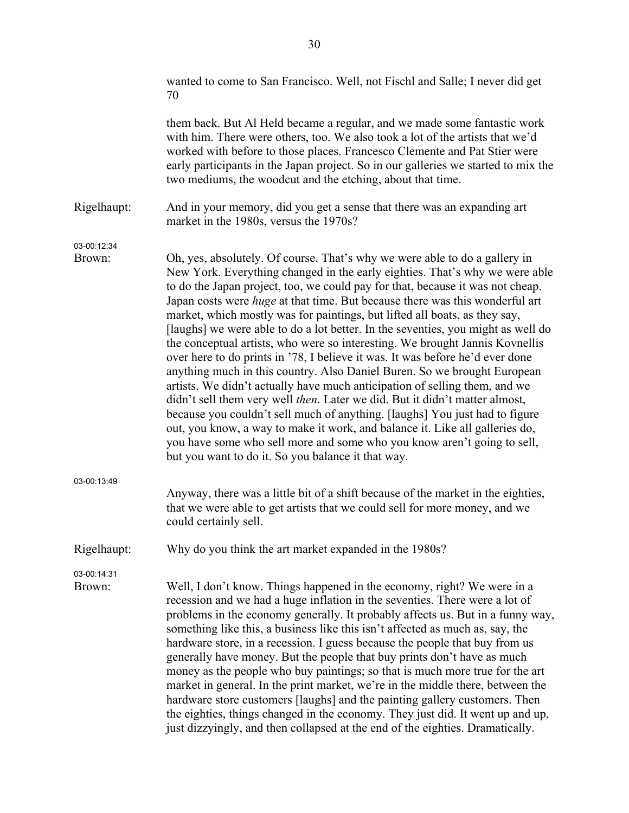|                       | wanted to come to San Francisco. Well, not Fischl and Salle; I never did get<br>70                                                                                                                                                                                                                                                                                                                                                                                                                                                                                                                                                                                                                                                                                                                                                                                                                                                                                                                                                                                                                                                                                                                             |
|-----------------------|----------------------------------------------------------------------------------------------------------------------------------------------------------------------------------------------------------------------------------------------------------------------------------------------------------------------------------------------------------------------------------------------------------------------------------------------------------------------------------------------------------------------------------------------------------------------------------------------------------------------------------------------------------------------------------------------------------------------------------------------------------------------------------------------------------------------------------------------------------------------------------------------------------------------------------------------------------------------------------------------------------------------------------------------------------------------------------------------------------------------------------------------------------------------------------------------------------------|
|                       | them back. But Al Held became a regular, and we made some fantastic work<br>with him. There were others, too. We also took a lot of the artists that we'd<br>worked with before to those places. Francesco Clemente and Pat Stier were<br>early participants in the Japan project. So in our galleries we started to mix the<br>two mediums, the woodcut and the etching, about that time.                                                                                                                                                                                                                                                                                                                                                                                                                                                                                                                                                                                                                                                                                                                                                                                                                     |
| Rigelhaupt:           | And in your memory, did you get a sense that there was an expanding art<br>market in the 1980s, versus the 1970s?                                                                                                                                                                                                                                                                                                                                                                                                                                                                                                                                                                                                                                                                                                                                                                                                                                                                                                                                                                                                                                                                                              |
| 03-00:12:34<br>Brown: | Oh, yes, absolutely. Of course. That's why we were able to do a gallery in<br>New York. Everything changed in the early eighties. That's why we were able<br>to do the Japan project, too, we could pay for that, because it was not cheap.<br>Japan costs were <i>huge</i> at that time. But because there was this wonderful art<br>market, which mostly was for paintings, but lifted all boats, as they say,<br>[laughs] we were able to do a lot better. In the seventies, you might as well do<br>the conceptual artists, who were so interesting. We brought Jannis Kovnellis<br>over here to do prints in '78, I believe it was. It was before he'd ever done<br>anything much in this country. Also Daniel Buren. So we brought European<br>artists. We didn't actually have much anticipation of selling them, and we<br>didn't sell them very well then. Later we did. But it didn't matter almost,<br>because you couldn't sell much of anything. [laughs] You just had to figure<br>out, you know, a way to make it work, and balance it. Like all galleries do,<br>you have some who sell more and some who you know aren't going to sell,<br>but you want to do it. So you balance it that way. |
| 03-00:13:49           | Anyway, there was a little bit of a shift because of the market in the eighties,<br>that we were able to get artists that we could sell for more money, and we<br>could certainly sell.                                                                                                                                                                                                                                                                                                                                                                                                                                                                                                                                                                                                                                                                                                                                                                                                                                                                                                                                                                                                                        |
| Rigelhaupt:           | Why do you think the art market expanded in the 1980s?                                                                                                                                                                                                                                                                                                                                                                                                                                                                                                                                                                                                                                                                                                                                                                                                                                                                                                                                                                                                                                                                                                                                                         |
| 03-00:14:31<br>Brown: | Well, I don't know. Things happened in the economy, right? We were in a<br>recession and we had a huge inflation in the seventies. There were a lot of<br>problems in the economy generally. It probably affects us. But in a funny way,<br>something like this, a business like this isn't affected as much as, say, the<br>hardware store, in a recession. I guess because the people that buy from us<br>generally have money. But the people that buy prints don't have as much<br>money as the people who buy paintings; so that is much more true for the art<br>market in general. In the print market, we're in the middle there, between the<br>hardware store customers [laughs] and the painting gallery customers. Then<br>the eighties, things changed in the economy. They just did. It went up and up,<br>just dizzyingly, and then collapsed at the end of the eighties. Dramatically.                                                                                                                                                                                                                                                                                                         |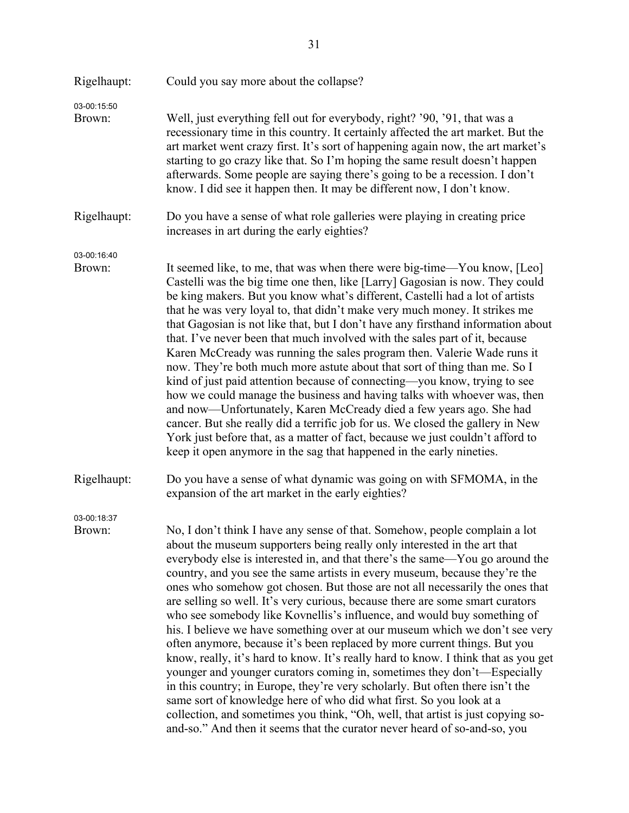| Rigelhaupt:           | Could you say more about the collapse?                                                                                                                                                                                                                                                                                                                                                                                                                                                                                                                                                                                                                                                                                                                                                                                                                                                                                                                                                                                                                                                                                                                                                                                |
|-----------------------|-----------------------------------------------------------------------------------------------------------------------------------------------------------------------------------------------------------------------------------------------------------------------------------------------------------------------------------------------------------------------------------------------------------------------------------------------------------------------------------------------------------------------------------------------------------------------------------------------------------------------------------------------------------------------------------------------------------------------------------------------------------------------------------------------------------------------------------------------------------------------------------------------------------------------------------------------------------------------------------------------------------------------------------------------------------------------------------------------------------------------------------------------------------------------------------------------------------------------|
| 03-00:15:50<br>Brown: | Well, just everything fell out for everybody, right? '90, '91, that was a<br>recessionary time in this country. It certainly affected the art market. But the<br>art market went crazy first. It's sort of happening again now, the art market's<br>starting to go crazy like that. So I'm hoping the same result doesn't happen<br>afterwards. Some people are saying there's going to be a recession. I don't<br>know. I did see it happen then. It may be different now, I don't know.                                                                                                                                                                                                                                                                                                                                                                                                                                                                                                                                                                                                                                                                                                                             |
| Rigelhaupt:           | Do you have a sense of what role galleries were playing in creating price<br>increases in art during the early eighties?                                                                                                                                                                                                                                                                                                                                                                                                                                                                                                                                                                                                                                                                                                                                                                                                                                                                                                                                                                                                                                                                                              |
| 03-00:16:40<br>Brown: | It seemed like, to me, that was when there were big-time—You know, [Leo]<br>Castelli was the big time one then, like [Larry] Gagosian is now. They could<br>be king makers. But you know what's different, Castelli had a lot of artists<br>that he was very loyal to, that didn't make very much money. It strikes me<br>that Gagosian is not like that, but I don't have any firsthand information about<br>that. I've never been that much involved with the sales part of it, because<br>Karen McCready was running the sales program then. Valerie Wade runs it<br>now. They're both much more astute about that sort of thing than me. So I<br>kind of just paid attention because of connecting—you know, trying to see<br>how we could manage the business and having talks with whoever was, then<br>and now—Unfortunately, Karen McCready died a few years ago. She had<br>cancer. But she really did a terrific job for us. We closed the gallery in New<br>York just before that, as a matter of fact, because we just couldn't afford to<br>keep it open anymore in the sag that happened in the early nineties.                                                                                         |
| Rigelhaupt:           | Do you have a sense of what dynamic was going on with SFMOMA, in the<br>expansion of the art market in the early eighties?                                                                                                                                                                                                                                                                                                                                                                                                                                                                                                                                                                                                                                                                                                                                                                                                                                                                                                                                                                                                                                                                                            |
| 03-00:18:37<br>Brown: | No, I don't think I have any sense of that. Somehow, people complain a lot<br>about the museum supporters being really only interested in the art that<br>everybody else is interested in, and that there's the same-You go around the<br>country, and you see the same artists in every museum, because they're the<br>ones who somehow got chosen. But those are not all necessarily the ones that<br>are selling so well. It's very curious, because there are some smart curators<br>who see somebody like Kovnellis's influence, and would buy something of<br>his. I believe we have something over at our museum which we don't see very<br>often anymore, because it's been replaced by more current things. But you<br>know, really, it's hard to know. It's really hard to know. I think that as you get<br>younger and younger curators coming in, sometimes they don't—Especially<br>in this country; in Europe, they're very scholarly. But often there isn't the<br>same sort of knowledge here of who did what first. So you look at a<br>collection, and sometimes you think, "Oh, well, that artist is just copying so-<br>and-so." And then it seems that the curator never heard of so-and-so, you |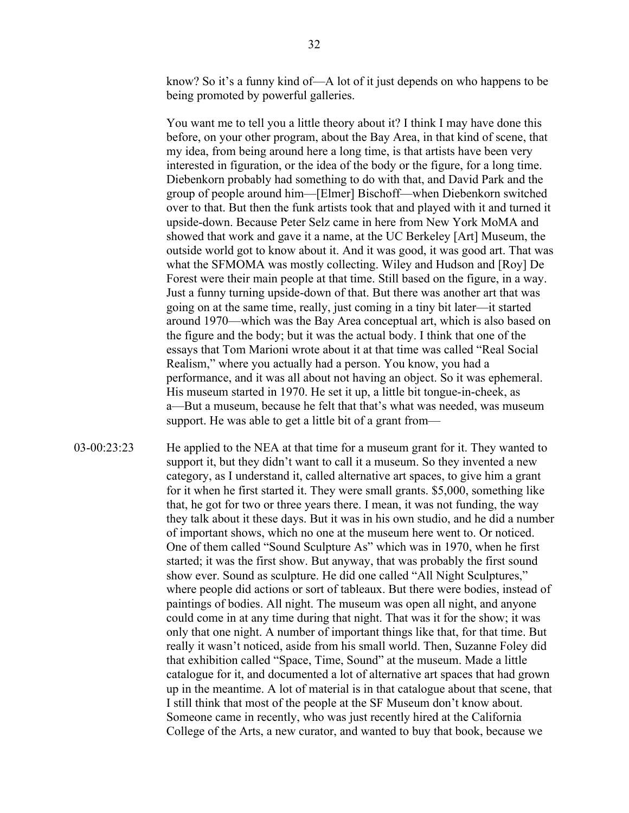know? So it's a funny kind of—A lot of it just depends on who happens to be being promoted by powerful galleries.

You want me to tell you a little theory about it? I think I may have done this before, on your other program, about the Bay Area, in that kind of scene, that my idea, from being around here a long time, is that artists have been very interested in figuration, or the idea of the body or the figure, for a long time. Diebenkorn probably had something to do with that, and David Park and the group of people around him—[Elmer] Bischoff—when Diebenkorn switched over to that. But then the funk artists took that and played with it and turned it upside-down. Because Peter Selz came in here from New York MoMA and showed that work and gave it a name, at the UC Berkeley [Art] Museum, the outside world got to know about it. And it was good, it was good art. That was what the SFMOMA was mostly collecting. Wiley and Hudson and [Roy] De Forest were their main people at that time. Still based on the figure, in a way. Just a funny turning upside-down of that. But there was another art that was going on at the same time, really, just coming in a tiny bit later—it started around 1970—which was the Bay Area conceptual art, which is also based on the figure and the body; but it was the actual body. I think that one of the essays that Tom Marioni wrote about it at that time was called "Real Social Realism," where you actually had a person. You know, you had a performance, and it was all about not having an object. So it was ephemeral. His museum started in 1970. He set it up, a little bit tongue-in-cheek, as a—But a museum, because he felt that that's what was needed, was museum support. He was able to get a little bit of a grant from—

03-00:23:23 He applied to the NEA at that time for a museum grant for it. They wanted to support it, but they didn't want to call it a museum. So they invented a new category, as I understand it, called alternative art spaces, to give him a grant for it when he first started it. They were small grants. \$5,000, something like that, he got for two or three years there. I mean, it was not funding, the way they talk about it these days. But it was in his own studio, and he did a number of important shows, which no one at the museum here went to. Or noticed. One of them called "Sound Sculpture As" which was in 1970, when he first started; it was the first show. But anyway, that was probably the first sound show ever. Sound as sculpture. He did one called "All Night Sculptures," where people did actions or sort of tableaux. But there were bodies, instead of paintings of bodies. All night. The museum was open all night, and anyone could come in at any time during that night. That was it for the show; it was only that one night. A number of important things like that, for that time. But really it wasn't noticed, aside from his small world. Then, Suzanne Foley did that exhibition called "Space, Time, Sound" at the museum. Made a little catalogue for it, and documented a lot of alternative art spaces that had grown up in the meantime. A lot of material is in that catalogue about that scene, that I still think that most of the people at the SF Museum don't know about. Someone came in recently, who was just recently hired at the California College of the Arts, a new curator, and wanted to buy that book, because we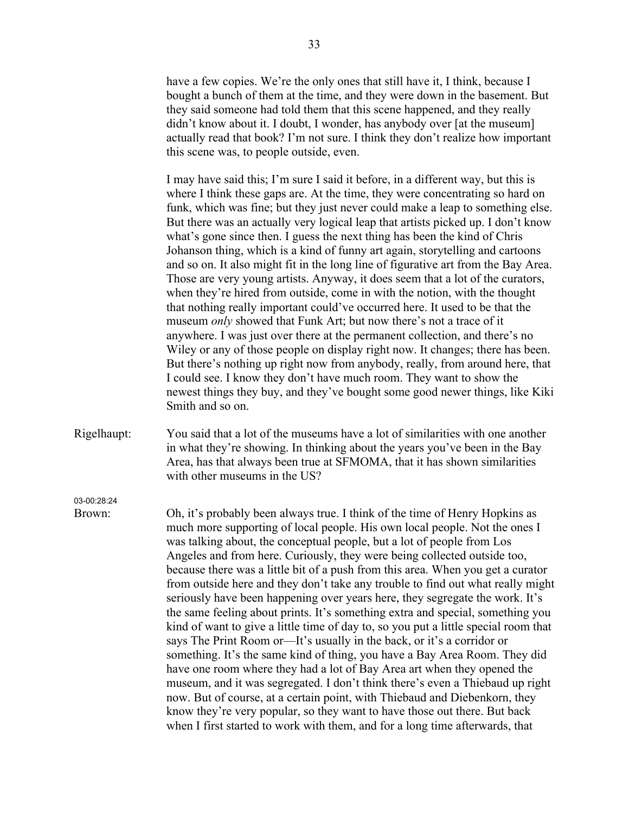have a few copies. We're the only ones that still have it, I think, because I bought a bunch of them at the time, and they were down in the basement. But they said someone had told them that this scene happened, and they really didn't know about it. I doubt, I wonder, has anybody over [at the museum] actually read that book? I'm not sure. I think they don't realize how important this scene was, to people outside, even.

I may have said this; I'm sure I said it before, in a different way, but this is where I think these gaps are. At the time, they were concentrating so hard on funk, which was fine; but they just never could make a leap to something else. But there was an actually very logical leap that artists picked up. I don't know what's gone since then. I guess the next thing has been the kind of Chris Johanson thing, which is a kind of funny art again, storytelling and cartoons and so on. It also might fit in the long line of figurative art from the Bay Area. Those are very young artists. Anyway, it does seem that a lot of the curators, when they're hired from outside, come in with the notion, with the thought that nothing really important could've occurred here. It used to be that the museum *only* showed that Funk Art; but now there's not a trace of it anywhere. I was just over there at the permanent collection, and there's no Wiley or any of those people on display right now. It changes; there has been. But there's nothing up right now from anybody, really, from around here, that I could see. I know they don't have much room. They want to show the newest things they buy, and they've bought some good newer things, like Kiki Smith and so on.

Rigelhaupt: You said that a lot of the museums have a lot of similarities with one another in what they're showing. In thinking about the years you've been in the Bay Area, has that always been true at SFMOMA, that it has shown similarities with other museums in the US?

03-00:28:24

Brown: Oh, it's probably been always true. I think of the time of Henry Hopkins as much more supporting of local people. His own local people. Not the ones I was talking about, the conceptual people, but a lot of people from Los Angeles and from here. Curiously, they were being collected outside too, because there was a little bit of a push from this area. When you get a curator from outside here and they don't take any trouble to find out what really might seriously have been happening over years here, they segregate the work. It's the same feeling about prints. It's something extra and special, something you kind of want to give a little time of day to, so you put a little special room that says The Print Room or—It's usually in the back, or it's a corridor or something. It's the same kind of thing, you have a Bay Area Room. They did have one room where they had a lot of Bay Area art when they opened the museum, and it was segregated. I don't think there's even a Thiebaud up right now. But of course, at a certain point, with Thiebaud and Diebenkorn, they know they're very popular, so they want to have those out there. But back when I first started to work with them, and for a long time afterwards, that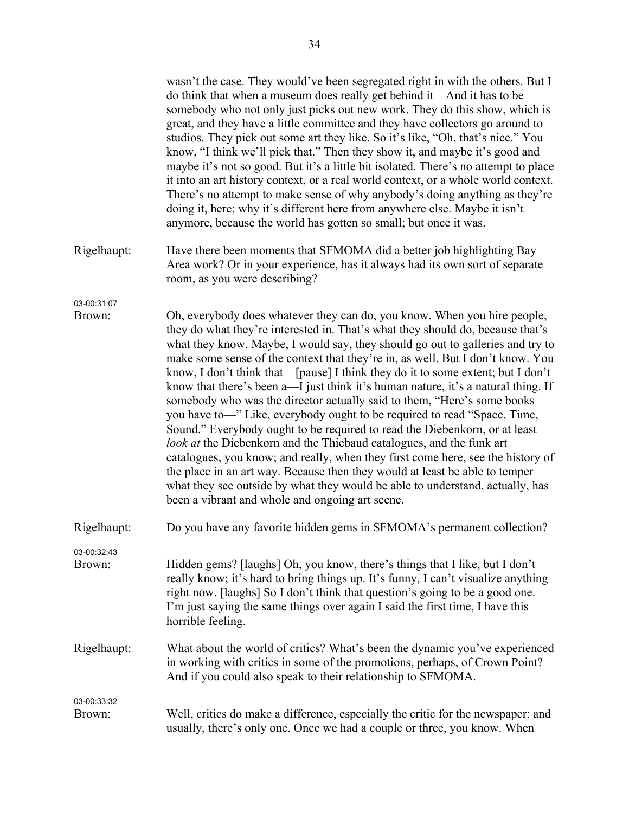|                       | wasn't the case. They would've been segregated right in with the others. But I<br>do think that when a museum does really get behind it—And it has to be<br>somebody who not only just picks out new work. They do this show, which is<br>great, and they have a little committee and they have collectors go around to<br>studios. They pick out some art they like. So it's like, "Oh, that's nice." You<br>know, "I think we'll pick that." Then they show it, and maybe it's good and<br>maybe it's not so good. But it's a little bit isolated. There's no attempt to place<br>it into an art history context, or a real world context, or a whole world context.<br>There's no attempt to make sense of why anybody's doing anything as they're<br>doing it, here; why it's different here from anywhere else. Maybe it isn't<br>anymore, because the world has gotten so small; but once it was.                                                                                                                                                                                                                   |
|-----------------------|---------------------------------------------------------------------------------------------------------------------------------------------------------------------------------------------------------------------------------------------------------------------------------------------------------------------------------------------------------------------------------------------------------------------------------------------------------------------------------------------------------------------------------------------------------------------------------------------------------------------------------------------------------------------------------------------------------------------------------------------------------------------------------------------------------------------------------------------------------------------------------------------------------------------------------------------------------------------------------------------------------------------------------------------------------------------------------------------------------------------------|
| Rigelhaupt:           | Have there been moments that SFMOMA did a better job highlighting Bay<br>Area work? Or in your experience, has it always had its own sort of separate<br>room, as you were describing?                                                                                                                                                                                                                                                                                                                                                                                                                                                                                                                                                                                                                                                                                                                                                                                                                                                                                                                                    |
| 03-00:31:07<br>Brown: | Oh, everybody does whatever they can do, you know. When you hire people,<br>they do what they're interested in. That's what they should do, because that's<br>what they know. Maybe, I would say, they should go out to galleries and try to<br>make some sense of the context that they're in, as well. But I don't know. You<br>know, I don't think that—[pause] I think they do it to some extent; but I don't<br>know that there's been a—I just think it's human nature, it's a natural thing. If<br>somebody who was the director actually said to them, "Here's some books<br>you have to-" Like, everybody ought to be required to read "Space, Time,<br>Sound." Everybody ought to be required to read the Diebenkorn, or at least<br>look at the Diebenkorn and the Thiebaud catalogues, and the funk art<br>catalogues, you know; and really, when they first come here, see the history of<br>the place in an art way. Because then they would at least be able to temper<br>what they see outside by what they would be able to understand, actually, has<br>been a vibrant and whole and ongoing art scene. |
| Rigelhaupt:           | Do you have any favorite hidden gems in SFMOMA's permanent collection?                                                                                                                                                                                                                                                                                                                                                                                                                                                                                                                                                                                                                                                                                                                                                                                                                                                                                                                                                                                                                                                    |
| 03-00:32:43<br>Brown: | Hidden gems? [laughs] Oh, you know, there's things that I like, but I don't<br>really know; it's hard to bring things up. It's funny, I can't visualize anything<br>right now. [laughs] So I don't think that question's going to be a good one.<br>I'm just saying the same things over again I said the first time, I have this<br>horrible feeling.                                                                                                                                                                                                                                                                                                                                                                                                                                                                                                                                                                                                                                                                                                                                                                    |
| Rigelhaupt:           | What about the world of critics? What's been the dynamic you've experienced<br>in working with critics in some of the promotions, perhaps, of Crown Point?<br>And if you could also speak to their relationship to SFMOMA.                                                                                                                                                                                                                                                                                                                                                                                                                                                                                                                                                                                                                                                                                                                                                                                                                                                                                                |
| 03-00:33:32<br>Brown: | Well, critics do make a difference, especially the critic for the newspaper; and<br>usually, there's only one. Once we had a couple or three, you know. When                                                                                                                                                                                                                                                                                                                                                                                                                                                                                                                                                                                                                                                                                                                                                                                                                                                                                                                                                              |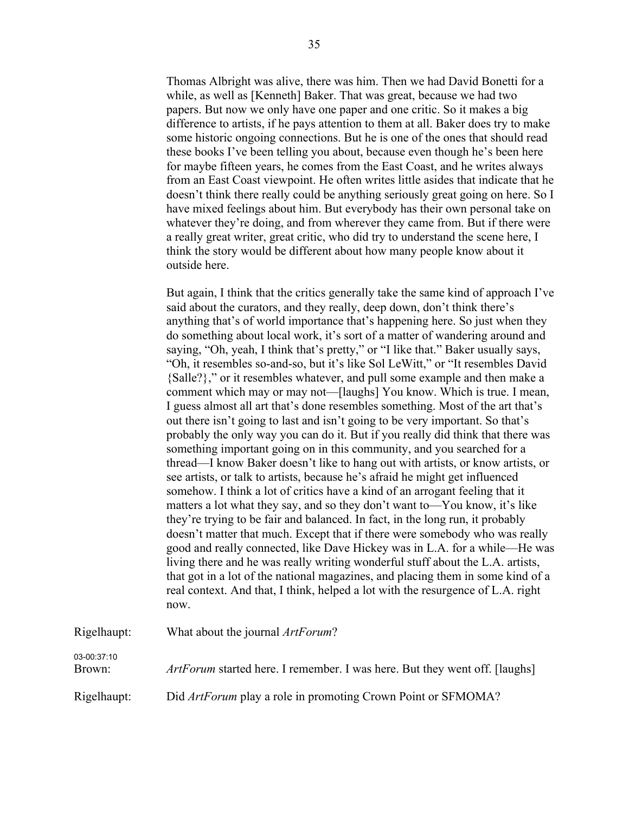Thomas Albright was alive, there was him. Then we had David Bonetti for a while, as well as [Kenneth] Baker. That was great, because we had two papers. But now we only have one paper and one critic. So it makes a big difference to artists, if he pays attention to them at all. Baker does try to make some historic ongoing connections. But he is one of the ones that should read these books I've been telling you about, because even though he's been here for maybe fifteen years, he comes from the East Coast, and he writes always from an East Coast viewpoint. He often writes little asides that indicate that he doesn't think there really could be anything seriously great going on here. So I have mixed feelings about him. But everybody has their own personal take on whatever they're doing, and from wherever they came from. But if there were a really great writer, great critic, who did try to understand the scene here, I think the story would be different about how many people know about it outside here.

But again, I think that the critics generally take the same kind of approach I've said about the curators, and they really, deep down, don't think there's anything that's of world importance that's happening here. So just when they do something about local work, it's sort of a matter of wandering around and saying, "Oh, yeah, I think that's pretty," or "I like that." Baker usually says, "Oh, it resembles so-and-so, but it's like Sol LeWitt," or "It resembles David {Salle?}," or it resembles whatever, and pull some example and then make a comment which may or may not—[laughs] You know. Which is true. I mean, I guess almost all art that's done resembles something. Most of the art that's out there isn't going to last and isn't going to be very important. So that's probably the only way you can do it. But if you really did think that there was something important going on in this community, and you searched for a thread—I know Baker doesn't like to hang out with artists, or know artists, or see artists, or talk to artists, because he's afraid he might get influenced somehow. I think a lot of critics have a kind of an arrogant feeling that it matters a lot what they say, and so they don't want to—You know, it's like they're trying to be fair and balanced. In fact, in the long run, it probably doesn't matter that much. Except that if there were somebody who was really good and really connected, like Dave Hickey was in L.A. for a while—He was living there and he was really writing wonderful stuff about the L.A. artists, that got in a lot of the national magazines, and placing them in some kind of a real context. And that, I think, helped a lot with the resurgence of L.A. right now.

| Rigelhaupt:           | What about the journal <i>ArtForum</i> ?                                   |
|-----------------------|----------------------------------------------------------------------------|
| 03-00:37:10<br>Brown: | ArtForum started here. I remember. I was here. But they went off. [laughs] |
| Rigelhaupt:           | Did <i>ArtForum</i> play a role in promoting Crown Point or SFMOMA?        |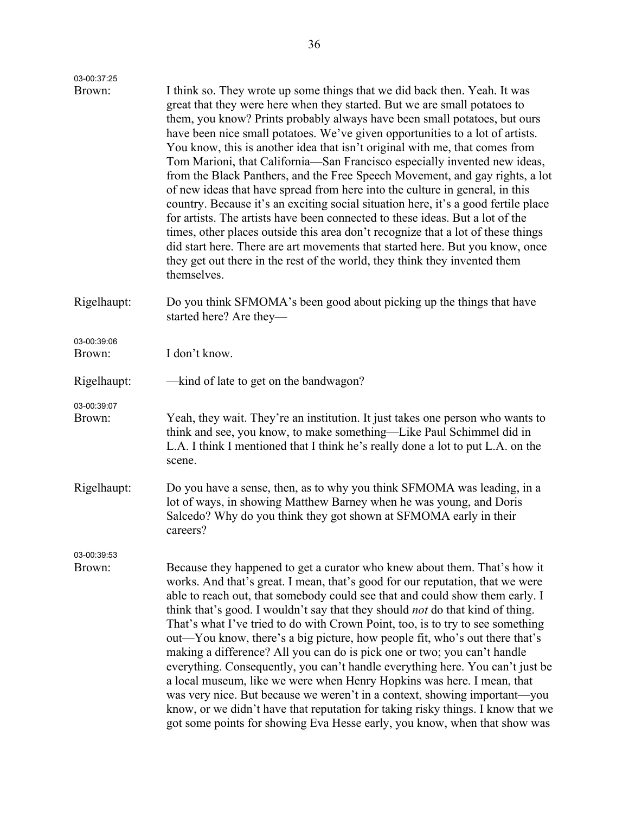| 03-00:37:25           |                                                                                                                                                                                                                                                                                                                                                                                                                                                                                                                                                                                                                                                                                                                                                                                                                                                                                                                                                                                                                                                                                           |
|-----------------------|-------------------------------------------------------------------------------------------------------------------------------------------------------------------------------------------------------------------------------------------------------------------------------------------------------------------------------------------------------------------------------------------------------------------------------------------------------------------------------------------------------------------------------------------------------------------------------------------------------------------------------------------------------------------------------------------------------------------------------------------------------------------------------------------------------------------------------------------------------------------------------------------------------------------------------------------------------------------------------------------------------------------------------------------------------------------------------------------|
| Brown:                | I think so. They wrote up some things that we did back then. Yeah. It was<br>great that they were here when they started. But we are small potatoes to<br>them, you know? Prints probably always have been small potatoes, but ours<br>have been nice small potatoes. We've given opportunities to a lot of artists.<br>You know, this is another idea that isn't original with me, that comes from<br>Tom Marioni, that California—San Francisco especially invented new ideas,<br>from the Black Panthers, and the Free Speech Movement, and gay rights, a lot<br>of new ideas that have spread from here into the culture in general, in this<br>country. Because it's an exciting social situation here, it's a good fertile place<br>for artists. The artists have been connected to these ideas. But a lot of the<br>times, other places outside this area don't recognize that a lot of these things<br>did start here. There are art movements that started here. But you know, once<br>they get out there in the rest of the world, they think they invented them<br>themselves. |
| Rigelhaupt:           | Do you think SFMOMA's been good about picking up the things that have<br>started here? Are they—                                                                                                                                                                                                                                                                                                                                                                                                                                                                                                                                                                                                                                                                                                                                                                                                                                                                                                                                                                                          |
| 03-00:39:06<br>Brown: | I don't know.                                                                                                                                                                                                                                                                                                                                                                                                                                                                                                                                                                                                                                                                                                                                                                                                                                                                                                                                                                                                                                                                             |
| Rigelhaupt:           | —kind of late to get on the bandwagon?                                                                                                                                                                                                                                                                                                                                                                                                                                                                                                                                                                                                                                                                                                                                                                                                                                                                                                                                                                                                                                                    |
| 03-00:39:07<br>Brown: | Yeah, they wait. They're an institution. It just takes one person who wants to<br>think and see, you know, to make something—Like Paul Schimmel did in<br>L.A. I think I mentioned that I think he's really done a lot to put L.A. on the<br>scene.                                                                                                                                                                                                                                                                                                                                                                                                                                                                                                                                                                                                                                                                                                                                                                                                                                       |
| Rigelhaupt:           | Do you have a sense, then, as to why you think SFMOMA was leading, in a<br>lot of ways, in showing Matthew Barney when he was young, and Doris<br>Salcedo? Why do you think they got shown at SFMOMA early in their<br>careers?                                                                                                                                                                                                                                                                                                                                                                                                                                                                                                                                                                                                                                                                                                                                                                                                                                                           |
| 03-00:39:53<br>Brown: | Because they happened to get a curator who knew about them. That's how it<br>works. And that's great. I mean, that's good for our reputation, that we were<br>able to reach out, that somebody could see that and could show them early. I<br>think that's good. I wouldn't say that they should <i>not</i> do that kind of thing.<br>That's what I've tried to do with Crown Point, too, is to try to see something<br>out—You know, there's a big picture, how people fit, who's out there that's<br>making a difference? All you can do is pick one or two; you can't handle<br>everything. Consequently, you can't handle everything here. You can't just be<br>a local museum, like we were when Henry Hopkins was here. I mean, that<br>was very nice. But because we weren't in a context, showing important—you<br>know, or we didn't have that reputation for taking risky things. I know that we<br>got some points for showing Eva Hesse early, you know, when that show was                                                                                                   |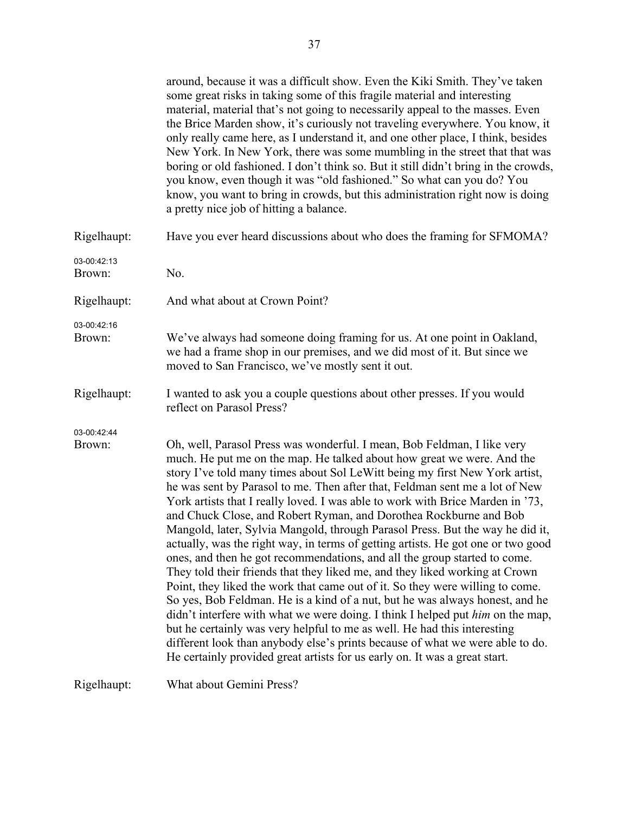|                       | around, because it was a difficult show. Even the Kiki Smith. They've taken<br>some great risks in taking some of this fragile material and interesting<br>material, material that's not going to necessarily appeal to the masses. Even<br>the Brice Marden show, it's curiously not traveling everywhere. You know, it<br>only really came here, as I understand it, and one other place, I think, besides<br>New York. In New York, there was some mumbling in the street that that was<br>boring or old fashioned. I don't think so. But it still didn't bring in the crowds,<br>you know, even though it was "old fashioned." So what can you do? You<br>know, you want to bring in crowds, but this administration right now is doing<br>a pretty nice job of hitting a balance.                                                                                                                                                                                                                                                                                                                                                                                                                                                                                                                       |
|-----------------------|--------------------------------------------------------------------------------------------------------------------------------------------------------------------------------------------------------------------------------------------------------------------------------------------------------------------------------------------------------------------------------------------------------------------------------------------------------------------------------------------------------------------------------------------------------------------------------------------------------------------------------------------------------------------------------------------------------------------------------------------------------------------------------------------------------------------------------------------------------------------------------------------------------------------------------------------------------------------------------------------------------------------------------------------------------------------------------------------------------------------------------------------------------------------------------------------------------------------------------------------------------------------------------------------------------------|
| Rigelhaupt:           | Have you ever heard discussions about who does the framing for SFMOMA?                                                                                                                                                                                                                                                                                                                                                                                                                                                                                                                                                                                                                                                                                                                                                                                                                                                                                                                                                                                                                                                                                                                                                                                                                                       |
| 03-00:42:13<br>Brown: | No.                                                                                                                                                                                                                                                                                                                                                                                                                                                                                                                                                                                                                                                                                                                                                                                                                                                                                                                                                                                                                                                                                                                                                                                                                                                                                                          |
| Rigelhaupt:           | And what about at Crown Point?                                                                                                                                                                                                                                                                                                                                                                                                                                                                                                                                                                                                                                                                                                                                                                                                                                                                                                                                                                                                                                                                                                                                                                                                                                                                               |
| 03-00:42:16<br>Brown: | We've always had someone doing framing for us. At one point in Oakland,<br>we had a frame shop in our premises, and we did most of it. But since we<br>moved to San Francisco, we've mostly sent it out.                                                                                                                                                                                                                                                                                                                                                                                                                                                                                                                                                                                                                                                                                                                                                                                                                                                                                                                                                                                                                                                                                                     |
| Rigelhaupt:           | I wanted to ask you a couple questions about other presses. If you would<br>reflect on Parasol Press?                                                                                                                                                                                                                                                                                                                                                                                                                                                                                                                                                                                                                                                                                                                                                                                                                                                                                                                                                                                                                                                                                                                                                                                                        |
| 03-00:42:44<br>Brown: | Oh, well, Parasol Press was wonderful. I mean, Bob Feldman, I like very<br>much. He put me on the map. He talked about how great we were. And the<br>story I've told many times about Sol LeWitt being my first New York artist,<br>he was sent by Parasol to me. Then after that, Feldman sent me a lot of New<br>York artists that I really loved. I was able to work with Brice Marden in '73,<br>and Chuck Close, and Robert Ryman, and Dorothea Rockburne and Bob<br>Mangold, later, Sylvia Mangold, through Parasol Press. But the way he did it,<br>actually, was the right way, in terms of getting artists. He got one or two good<br>ones, and then he got recommendations, and all the group started to come.<br>They told their friends that they liked me, and they liked working at Crown<br>Point, they liked the work that came out of it. So they were willing to come.<br>So yes, Bob Feldman. He is a kind of a nut, but he was always honest, and he<br>didn't interfere with what we were doing. I think I helped put <i>him</i> on the map,<br>but he certainly was very helpful to me as well. He had this interesting<br>different look than anybody else's prints because of what we were able to do.<br>He certainly provided great artists for us early on. It was a great start. |
| Rigelhaupt:           | What about Gemini Press?                                                                                                                                                                                                                                                                                                                                                                                                                                                                                                                                                                                                                                                                                                                                                                                                                                                                                                                                                                                                                                                                                                                                                                                                                                                                                     |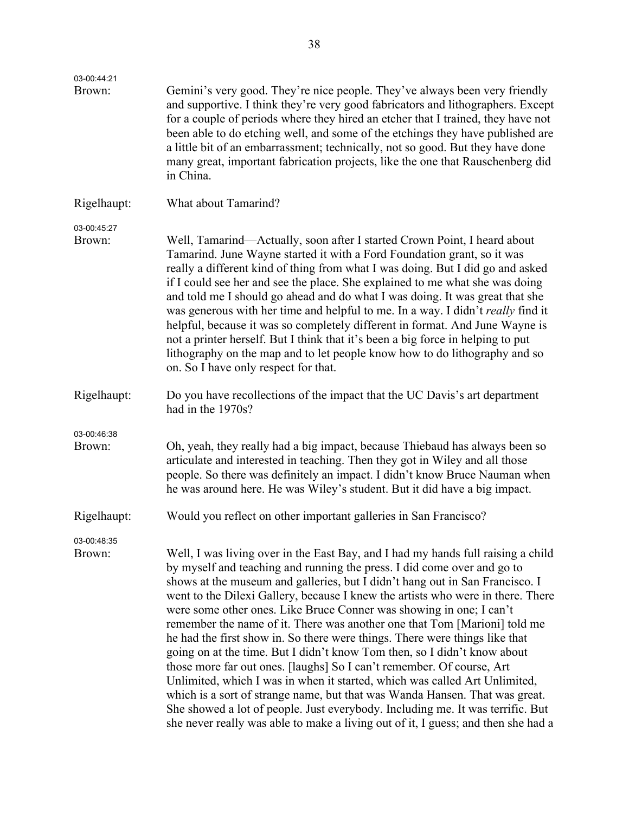| 03-00:44:21           |                                                                                                                                                                                                                                                                                                                                                                                                                                                                                                                                                                                                                                                                                                                                                                                                                                                                                                                                                                                                                                                            |
|-----------------------|------------------------------------------------------------------------------------------------------------------------------------------------------------------------------------------------------------------------------------------------------------------------------------------------------------------------------------------------------------------------------------------------------------------------------------------------------------------------------------------------------------------------------------------------------------------------------------------------------------------------------------------------------------------------------------------------------------------------------------------------------------------------------------------------------------------------------------------------------------------------------------------------------------------------------------------------------------------------------------------------------------------------------------------------------------|
| Brown:                | Gemini's very good. They're nice people. They've always been very friendly<br>and supportive. I think they're very good fabricators and lithographers. Except<br>for a couple of periods where they hired an etcher that I trained, they have not<br>been able to do etching well, and some of the etchings they have published are<br>a little bit of an embarrassment; technically, not so good. But they have done<br>many great, important fabrication projects, like the one that Rauschenberg did<br>in China.                                                                                                                                                                                                                                                                                                                                                                                                                                                                                                                                       |
| Rigelhaupt:           | What about Tamarind?                                                                                                                                                                                                                                                                                                                                                                                                                                                                                                                                                                                                                                                                                                                                                                                                                                                                                                                                                                                                                                       |
| 03-00:45:27<br>Brown: | Well, Tamarind—Actually, soon after I started Crown Point, I heard about<br>Tamarind. June Wayne started it with a Ford Foundation grant, so it was<br>really a different kind of thing from what I was doing. But I did go and asked<br>if I could see her and see the place. She explained to me what she was doing<br>and told me I should go ahead and do what I was doing. It was great that she<br>was generous with her time and helpful to me. In a way. I didn't really find it<br>helpful, because it was so completely different in format. And June Wayne is<br>not a printer herself. But I think that it's been a big force in helping to put<br>lithography on the map and to let people know how to do lithography and so<br>on. So I have only respect for that.                                                                                                                                                                                                                                                                          |
| Rigelhaupt:           | Do you have recollections of the impact that the UC Davis's art department<br>had in the 1970s?                                                                                                                                                                                                                                                                                                                                                                                                                                                                                                                                                                                                                                                                                                                                                                                                                                                                                                                                                            |
| 03-00:46:38<br>Brown: | Oh, yeah, they really had a big impact, because Thiebaud has always been so<br>articulate and interested in teaching. Then they got in Wiley and all those<br>people. So there was definitely an impact. I didn't know Bruce Nauman when<br>he was around here. He was Wiley's student. But it did have a big impact.                                                                                                                                                                                                                                                                                                                                                                                                                                                                                                                                                                                                                                                                                                                                      |
| Rigelhaupt:           | Would you reflect on other important galleries in San Francisco?                                                                                                                                                                                                                                                                                                                                                                                                                                                                                                                                                                                                                                                                                                                                                                                                                                                                                                                                                                                           |
| 03-00:48:35<br>Brown: | Well, I was living over in the East Bay, and I had my hands full raising a child<br>by myself and teaching and running the press. I did come over and go to<br>shows at the museum and galleries, but I didn't hang out in San Francisco. I<br>went to the Dilexi Gallery, because I knew the artists who were in there. There<br>were some other ones. Like Bruce Conner was showing in one; I can't<br>remember the name of it. There was another one that Tom [Marioni] told me<br>he had the first show in. So there were things. There were things like that<br>going on at the time. But I didn't know Tom then, so I didn't know about<br>those more far out ones. [laughs] So I can't remember. Of course, Art<br>Unlimited, which I was in when it started, which was called Art Unlimited,<br>which is a sort of strange name, but that was Wanda Hansen. That was great.<br>She showed a lot of people. Just everybody. Including me. It was terrific. But<br>she never really was able to make a living out of it, I guess; and then she had a |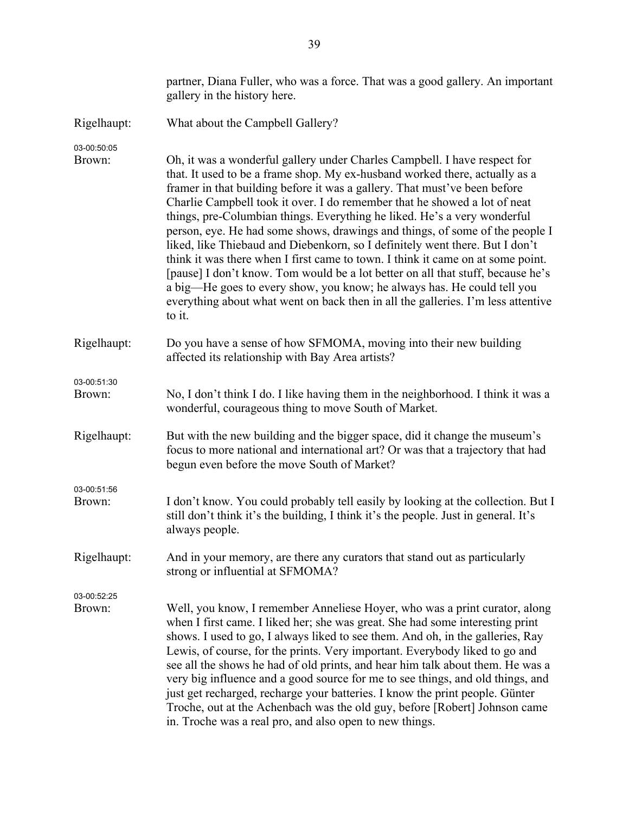|                       | partner, Diana Fuller, who was a force. That was a good gallery. An important<br>gallery in the history here.                                                                                                                                                                                                                                                                                                                                                                                                                                                                                                                                                                                                                                                                                                                                                                                                 |
|-----------------------|---------------------------------------------------------------------------------------------------------------------------------------------------------------------------------------------------------------------------------------------------------------------------------------------------------------------------------------------------------------------------------------------------------------------------------------------------------------------------------------------------------------------------------------------------------------------------------------------------------------------------------------------------------------------------------------------------------------------------------------------------------------------------------------------------------------------------------------------------------------------------------------------------------------|
| Rigelhaupt:           | What about the Campbell Gallery?                                                                                                                                                                                                                                                                                                                                                                                                                                                                                                                                                                                                                                                                                                                                                                                                                                                                              |
| 03-00:50:05<br>Brown: | Oh, it was a wonderful gallery under Charles Campbell. I have respect for<br>that. It used to be a frame shop. My ex-husband worked there, actually as a<br>framer in that building before it was a gallery. That must've been before<br>Charlie Campbell took it over. I do remember that he showed a lot of neat<br>things, pre-Columbian things. Everything he liked. He's a very wonderful<br>person, eye. He had some shows, drawings and things, of some of the people I<br>liked, like Thiebaud and Diebenkorn, so I definitely went there. But I don't<br>think it was there when I first came to town. I think it came on at some point.<br>[pause] I don't know. Tom would be a lot better on all that stuff, because he's<br>a big-He goes to every show, you know; he always has. He could tell you<br>everything about what went on back then in all the galleries. I'm less attentive<br>to it. |
| Rigelhaupt:           | Do you have a sense of how SFMOMA, moving into their new building<br>affected its relationship with Bay Area artists?                                                                                                                                                                                                                                                                                                                                                                                                                                                                                                                                                                                                                                                                                                                                                                                         |
| 03-00:51:30<br>Brown: | No, I don't think I do. I like having them in the neighborhood. I think it was a<br>wonderful, courageous thing to move South of Market.                                                                                                                                                                                                                                                                                                                                                                                                                                                                                                                                                                                                                                                                                                                                                                      |
| Rigelhaupt:           | But with the new building and the bigger space, did it change the museum's<br>focus to more national and international art? Or was that a trajectory that had<br>begun even before the move South of Market?                                                                                                                                                                                                                                                                                                                                                                                                                                                                                                                                                                                                                                                                                                  |
| 03-00:51:56<br>Brown: | I don't know. You could probably tell easily by looking at the collection. But I<br>still don't think it's the building, I think it's the people. Just in general. It's<br>always people.                                                                                                                                                                                                                                                                                                                                                                                                                                                                                                                                                                                                                                                                                                                     |
| Rigelhaupt:           | And in your memory, are there any curators that stand out as particularly<br>strong or influential at SFMOMA?                                                                                                                                                                                                                                                                                                                                                                                                                                                                                                                                                                                                                                                                                                                                                                                                 |
| 03-00:52:25<br>Brown: | Well, you know, I remember Anneliese Hoyer, who was a print curator, along<br>when I first came. I liked her; she was great. She had some interesting print<br>shows. I used to go, I always liked to see them. And oh, in the galleries, Ray<br>Lewis, of course, for the prints. Very important. Everybody liked to go and<br>see all the shows he had of old prints, and hear him talk about them. He was a<br>very big influence and a good source for me to see things, and old things, and<br>just get recharged, recharge your batteries. I know the print people. Günter<br>Troche, out at the Achenbach was the old guy, before [Robert] Johnson came<br>in. Troche was a real pro, and also open to new things.                                                                                                                                                                                     |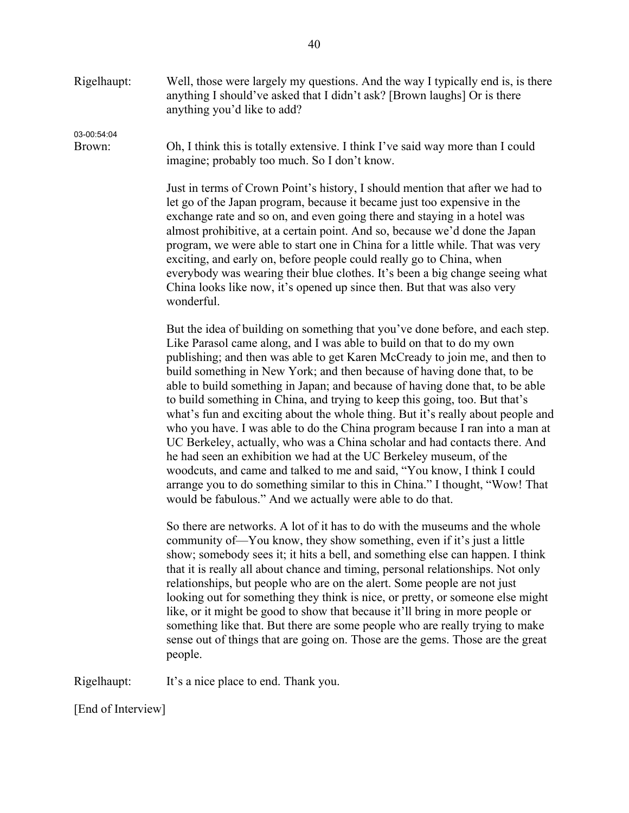Rigelhaupt: Well, those were largely my questions. And the way I typically end is, is there anything I should've asked that I didn't ask? [Brown laughs] Or is there anything you'd like to add?

03-00:54:04

Brown: Oh, I think this is totally extensive. I think I've said way more than I could imagine; probably too much. So I don't know.

> Just in terms of Crown Point's history, I should mention that after we had to let go of the Japan program, because it became just too expensive in the exchange rate and so on, and even going there and staying in a hotel was almost prohibitive, at a certain point. And so, because we'd done the Japan program, we were able to start one in China for a little while. That was very exciting, and early on, before people could really go to China, when everybody was wearing their blue clothes. It's been a big change seeing what China looks like now, it's opened up since then. But that was also very wonderful.

But the idea of building on something that you've done before, and each step. Like Parasol came along, and I was able to build on that to do my own publishing; and then was able to get Karen McCready to join me, and then to build something in New York; and then because of having done that, to be able to build something in Japan; and because of having done that, to be able to build something in China, and trying to keep this going, too. But that's what's fun and exciting about the whole thing. But it's really about people and who you have. I was able to do the China program because I ran into a man at UC Berkeley, actually, who was a China scholar and had contacts there. And he had seen an exhibition we had at the UC Berkeley museum, of the woodcuts, and came and talked to me and said, "You know, I think I could arrange you to do something similar to this in China." I thought, "Wow! That would be fabulous." And we actually were able to do that.

So there are networks. A lot of it has to do with the museums and the whole community of—You know, they show something, even if it's just a little show; somebody sees it; it hits a bell, and something else can happen. I think that it is really all about chance and timing, personal relationships. Not only relationships, but people who are on the alert. Some people are not just looking out for something they think is nice, or pretty, or someone else might like, or it might be good to show that because it'll bring in more people or something like that. But there are some people who are really trying to make sense out of things that are going on. Those are the gems. Those are the great people.

Rigelhaupt: It's a nice place to end. Thank you.

[End of Interview]